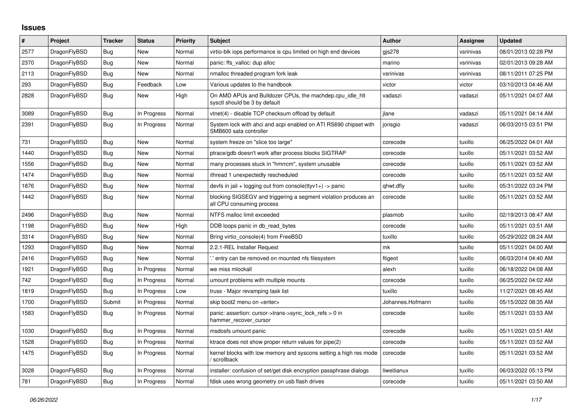## **Issues**

| #    | Project      | <b>Tracker</b> | <b>Status</b> | Priority | <b>Subject</b>                                                                               | <b>Author</b>    | Assignee  | <b>Updated</b>      |
|------|--------------|----------------|---------------|----------|----------------------------------------------------------------------------------------------|------------------|-----------|---------------------|
| 2577 | DragonFlyBSD | <b>Bug</b>     | <b>New</b>    | Normal   | virtio-blk iops performance is cpu limited on high end devices                               | gjs278           | vsrinivas | 08/01/2013 02:28 PM |
| 2370 | DragonFlyBSD | <b>Bug</b>     | <b>New</b>    | Normal   | panic: ffs valloc: dup alloc                                                                 | marino           | vsrinivas | 02/01/2013 09:28 AM |
| 2113 | DragonFlyBSD | <b>Bug</b>     | New           | Normal   | nmalloc threaded program fork leak                                                           | vsrinivas        | vsrinivas | 08/11/2011 07:25 PM |
| 293  | DragonFlyBSD | Bug            | Feedback      | Low      | Various updates to the handbook                                                              | victor           | victor    | 03/10/2013 04:46 AM |
| 2828 | DragonFlyBSD | Bug            | New           | High     | On AMD APUs and Bulldozer CPUs, the machdep.cpu idle hit<br>sysctl should be 3 by default    | vadaszi          | vadaszi   | 05/11/2021 04:07 AM |
| 3089 | DragonFlyBSD | Bug            | In Progress   | Normal   | vtnet(4) - disable TCP checksum offload by default                                           | ilane            | vadaszi   | 05/11/2021 04:14 AM |
| 2391 | DragonFlyBSD | <b>Bug</b>     | In Progress   | Normal   | System lock with ahci and acpi enabled on ATI RS690 chipset with<br>SMB600 sata controller   | jorisgio         | vadaszi   | 06/03/2015 03:51 PM |
| 731  | DragonFlyBSD | <b>Bug</b>     | <b>New</b>    | Normal   | system freeze on "slice too large"                                                           | corecode         | tuxillo   | 06/25/2022 04:01 AM |
| 1440 | DragonFlyBSD | Bug            | New           | Normal   | ptrace/gdb doesn't work after process blocks SIGTRAP                                         | corecode         | tuxillo   | 05/11/2021 03:52 AM |
| 1556 | DragonFlyBSD | Bug            | New           | Normal   | many processes stuck in "hmrrcm", system unusable                                            | corecode         | tuxillo   | 05/11/2021 03:52 AM |
| 1474 | DragonFlyBSD | Bug            | New           | Normal   | ithread 1 unexpectedly rescheduled                                                           | corecode         | tuxillo   | 05/11/2021 03:52 AM |
| 1876 | DragonFlyBSD | Bug            | New           | Normal   | devfs in jail + logging out from console(ttyv1+) -> panic                                    | qhwt.dfly        | tuxillo   | 05/31/2022 03:24 PM |
| 1442 | DragonFlyBSD | <b>Bug</b>     | <b>New</b>    | Normal   | blocking SIGSEGV and triggering a segment violation produces an<br>all CPU consuming process | corecode         | tuxillo   | 05/11/2021 03:52 AM |
| 2496 | DragonFlyBSD | Bug            | New           | Normal   | NTFS malloc limit exceeded                                                                   | plasmob          | tuxillo   | 02/19/2013 08:47 AM |
| 1198 | DragonFlyBSD | Bug            | <b>New</b>    | High     | DDB loops panic in db read bytes                                                             | corecode         | tuxillo   | 05/11/2021 03:51 AM |
| 3314 | DragonFlyBSD | <b>Bug</b>     | New           | Normal   | Bring virtio console(4) from FreeBSD                                                         | tuxillo          | tuxillo   | 05/29/2022 08:24 AM |
| 1293 | DragonFlyBSD | Bug            | New           | Normal   | 2.2.1-REL Installer Request                                                                  | mk               | tuxillo   | 05/11/2021 04:00 AM |
| 2416 | DragonFlyBSD | Bug            | New           | Normal   | ".' entry can be removed on mounted nfs filesystem                                           | ftigeot          | tuxillo   | 06/03/2014 04:40 AM |
| 1921 | DragonFlyBSD | Bug            | In Progress   | Normal   | we miss mlockall                                                                             | alexh            | tuxillo   | 06/18/2022 04:08 AM |
| 742  | DragonFlyBSD | <b>Bug</b>     | In Progress   | Normal   | umount problems with multiple mounts                                                         | corecode         | tuxillo   | 06/25/2022 04:02 AM |
| 1819 | DragonFlyBSD | Bug            | In Progress   | Low      | truss - Major revamping task list                                                            | tuxillo          | tuxillo   | 11/27/2021 08:45 AM |
| 1700 | DragonFlyBSD | Submit         | In Progress   | Normal   | skip boot2 menu on <enter></enter>                                                           | Johannes.Hofmann | tuxillo   | 05/15/2022 08:35 AM |
| 1583 | DragonFlyBSD | <b>Bug</b>     | In Progress   | Normal   | panic: assertion: cursor->trans->sync_lock_refs > 0 in<br>hammer_recover_cursor              | corecode         | tuxillo   | 05/11/2021 03:53 AM |
| 1030 | DragonFlyBSD | <b>Bug</b>     | In Progress   | Normal   | msdosfs umount panic                                                                         | corecode         | tuxillo   | 05/11/2021 03:51 AM |
| 1528 | DragonFlyBSD | <b>Bug</b>     | In Progress   | Normal   | ktrace does not show proper return values for pipe(2)                                        | corecode         | tuxillo   | 05/11/2021 03:52 AM |
| 1475 | DragonFlyBSD | Bug            | In Progress   | Normal   | kernel blocks with low memory and syscons setting a high res mode<br>/ scrollback            | corecode         | tuxillo   | 05/11/2021 03:52 AM |
| 3028 | DragonFlyBSD | <b>Bug</b>     | In Progress   | Normal   | installer: confusion of set/get disk encryption passphrase dialogs                           | liweitianux      | tuxillo   | 06/03/2022 05:13 PM |
| 781  | DragonFlyBSD | <b>Bug</b>     | In Progress   | Normal   | fdisk uses wrong geometry on usb flash drives                                                | corecode         | tuxillo   | 05/11/2021 03:50 AM |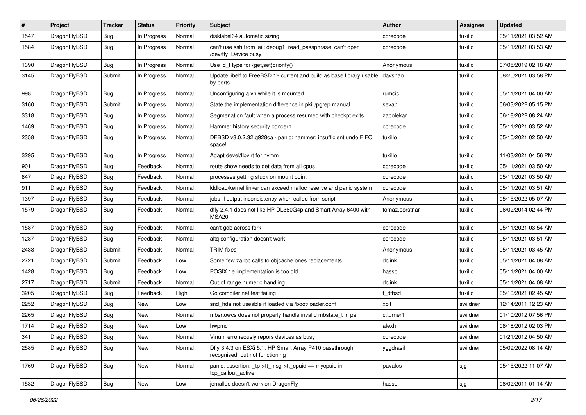| #    | Project      | <b>Tracker</b> | <b>Status</b> | <b>Priority</b> | Subject                                                                                    | Author         | Assignee | <b>Updated</b>      |
|------|--------------|----------------|---------------|-----------------|--------------------------------------------------------------------------------------------|----------------|----------|---------------------|
| 1547 | DragonFlyBSD | <b>Bug</b>     | In Progress   | Normal          | disklabel64 automatic sizing                                                               | corecode       | tuxillo  | 05/11/2021 03:52 AM |
| 1584 | DragonFlyBSD | <b>Bug</b>     | In Progress   | Normal          | can't use ssh from jail: debug1: read_passphrase: can't open<br>/dev/tty: Device busy      | corecode       | tuxillo  | 05/11/2021 03:53 AM |
| 1390 | DragonFlyBSD | <b>Bug</b>     | In Progress   | Normal          | Use id_t type for {get,set}priority()                                                      | Anonymous      | tuxillo  | 07/05/2019 02:18 AM |
| 3145 | DragonFlyBSD | Submit         | In Progress   | Normal          | Update libelf to FreeBSD 12 current and build as base library usable<br>by ports           | davshao        | tuxillo  | 08/20/2021 03:58 PM |
| 998  | DragonFlyBSD | Bug            | In Progress   | Normal          | Unconfiguring a vn while it is mounted                                                     | rumcic         | tuxillo  | 05/11/2021 04:00 AM |
| 3160 | DragonFlyBSD | Submit         | In Progress   | Normal          | State the implementation difference in pkill/pgrep manual                                  | sevan          | tuxillo  | 06/03/2022 05:15 PM |
| 3318 | DragonFlyBSD | <b>Bug</b>     | In Progress   | Normal          | Segmenation fault when a process resumed with checkpt exits                                | zabolekar      | tuxillo  | 06/18/2022 08:24 AM |
| 1469 | DragonFlyBSD | <b>Bug</b>     | In Progress   | Normal          | Hammer history security concern                                                            | corecode       | tuxillo  | 05/11/2021 03:52 AM |
| 2358 | DragonFlyBSD | <b>Bug</b>     | In Progress   | Normal          | DFBSD v3.0.2.32.g928ca - panic: hammer: insufficient undo FIFO<br>space!                   | tuxillo        | tuxillo  | 05/10/2021 02:50 AM |
| 3295 | DragonFlyBSD | Bug            | In Progress   | Normal          | Adapt devel/libvirt for nvmm                                                               | tuxillo        | tuxillo  | 11/03/2021 04:56 PM |
| 901  | DragonFlyBSD | <b>Bug</b>     | Feedback      | Normal          | route show needs to get data from all cpus                                                 | corecode       | tuxillo  | 05/11/2021 03:50 AM |
| 847  | DragonFlyBSD | Bug            | Feedback      | Normal          | processes getting stuck on mount point                                                     | corecode       | tuxillo  | 05/11/2021 03:50 AM |
| 911  | DragonFlyBSD | <b>Bug</b>     | Feedback      | Normal          | kldload/kernel linker can exceed malloc reserve and panic system                           | corecode       | tuxillo  | 05/11/2021 03:51 AM |
| 1397 | DragonFlyBSD | <b>Bug</b>     | Feedback      | Normal          | jobs -I output inconsistency when called from script                                       | Anonymous      | tuxillo  | 05/15/2022 05:07 AM |
| 1579 | DragonFlyBSD | <b>Bug</b>     | Feedback      | Normal          | dfly 2.4.1 does not like HP DL360G4p and Smart Array 6400 with<br>MSA <sub>20</sub>        | tomaz.borstnar | tuxillo  | 06/02/2014 02:44 PM |
| 1587 | DragonFlyBSD | Bug            | Feedback      | Normal          | can't gdb across fork                                                                      | corecode       | tuxillo  | 05/11/2021 03:54 AM |
| 1287 | DragonFlyBSD | Bug            | Feedback      | Normal          | altq configuration doesn't work                                                            | corecode       | tuxillo  | 05/11/2021 03:51 AM |
| 2438 | DragonFlyBSD | Submit         | Feedback      | Normal          | <b>TRIM</b> fixes                                                                          | Anonymous      | tuxillo  | 05/11/2021 03:45 AM |
| 2721 | DragonFlyBSD | Submit         | Feedback      | Low             | Some few zalloc calls to objcache ones replacements                                        | dclink         | tuxillo  | 05/11/2021 04:08 AM |
| 1428 | DragonFlyBSD | Bug            | Feedback      | Low             | POSIX.1e implementation is too old                                                         | hasso          | tuxillo  | 05/11/2021 04:00 AM |
| 2717 | DragonFlyBSD | Submit         | Feedback      | Normal          | Out of range numeric handling                                                              | dclink         | tuxillo  | 05/11/2021 04:08 AM |
| 3205 | DragonFlyBSD | <b>Bug</b>     | Feedback      | High            | Go compiler net test failing                                                               | t dfbsd        | tuxillo  | 05/10/2021 02:45 AM |
| 2252 | DragonFlyBSD | <b>Bug</b>     | <b>New</b>    | Low             | snd_hda not useable if loaded via /boot/loader.conf                                        | xbit           | swildner | 12/14/2011 12:23 AM |
| 2265 | DragonFlyBSD | <b>Bug</b>     | New           | Normal          | mbsrtowcs does not properly handle invalid mbstate_t in ps                                 | c.turner1      | swildner | 01/10/2012 07:56 PM |
| 1714 | DragonFlyBSD | <b>Bug</b>     | New           | Low             | hwpmc                                                                                      | alexh          | swildner | 08/18/2012 02:03 PM |
| 341  | DragonFlyBSD | <b>Bug</b>     | New           | Normal          | Vinum erroneously repors devices as busy                                                   | corecode       | swildner | 01/21/2012 04:50 AM |
| 2585 | DragonFlyBSD | <b>Bug</b>     | New           | Normal          | Dfly 3.4.3 on ESXi 5.1, HP Smart Array P410 passthrough<br>recognised, but not functioning | yggdrasil      | swildner | 05/09/2022 08:14 AM |
| 1769 | DragonFlyBSD | Bug            | New           | Normal          | panic: assertion: _tp->tt_msg->tt_cpuid == mycpuid in<br>tcp_callout_active                | pavalos        | sjg      | 05/15/2022 11:07 AM |
| 1532 | DragonFlyBSD | Bug            | New           | Low             | jemalloc doesn't work on DragonFly                                                         | hasso          | sjg      | 08/02/2011 01:14 AM |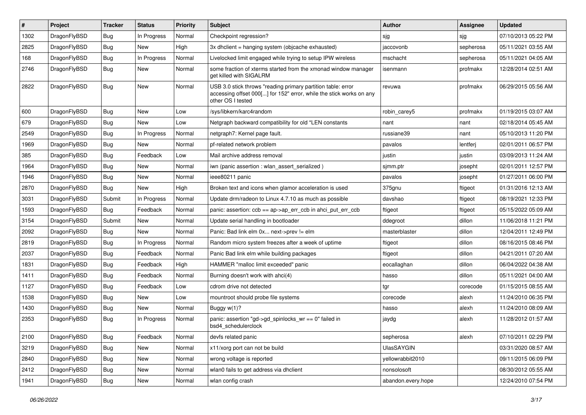| ∦    | Project      | <b>Tracker</b> | <b>Status</b> | <b>Priority</b> | <b>Subject</b>                                                                                                                                           | Author             | <b>Assignee</b> | <b>Updated</b>      |
|------|--------------|----------------|---------------|-----------------|----------------------------------------------------------------------------------------------------------------------------------------------------------|--------------------|-----------------|---------------------|
| 1302 | DragonFlyBSD | <b>Bug</b>     | In Progress   | Normal          | Checkpoint regression?                                                                                                                                   | sjg                | sjg             | 07/10/2013 05:22 PM |
| 2825 | DragonFlyBSD | <b>Bug</b>     | <b>New</b>    | High            | 3x dhclient = hanging system (objcache exhausted)                                                                                                        | jaccovonb          | sepherosa       | 05/11/2021 03:55 AM |
| 168  | DragonFlyBSD | <b>Bug</b>     | In Progress   | Normal          | Livelocked limit engaged while trying to setup IPW wireless                                                                                              | mschacht           | sepherosa       | 05/11/2021 04:05 AM |
| 2746 | DragonFlyBSD | <b>Bug</b>     | New           | Normal          | some fraction of xterms started from the xmonad window manager<br>get killed with SIGALRM                                                                | isenmann           | profmakx        | 12/28/2014 02:51 AM |
| 2822 | DragonFlyBSD | Bug            | <b>New</b>    | Normal          | USB 3.0 stick throws "reading primary partition table: error<br>accessing offset 000[] for 152" error, while the stick works on any<br>other OS I tested | revuwa             | profmakx        | 06/29/2015 05:56 AM |
| 600  | DragonFlyBSD | Bug            | <b>New</b>    | Low             | /sys/libkern/karc4random                                                                                                                                 | robin carev5       | profmakx        | 01/19/2015 03:07 AM |
| 679  | DragonFlyBSD | <b>Bug</b>     | <b>New</b>    | Low             | Netgraph backward compatibility for old *LEN constants                                                                                                   | nant               | nant            | 02/18/2014 05:45 AM |
| 2549 | DragonFlyBSD | <b>Bug</b>     | In Progress   | Normal          | netgraph7: Kernel page fault.                                                                                                                            | russiane39         | nant            | 05/10/2013 11:20 PM |
| 1969 | DragonFlyBSD | <b>Bug</b>     | <b>New</b>    | Normal          | pf-related network problem                                                                                                                               | pavalos            | lentferj        | 02/01/2011 06:57 PM |
| 385  | DragonFlyBSD | <b>Bug</b>     | Feedback      | Low             | Mail archive address removal                                                                                                                             | justin             | justin          | 03/09/2013 11:24 AM |
| 1964 | DragonFlyBSD | <b>Bug</b>     | New           | Normal          | iwn (panic assertion : wlan assert serialized)                                                                                                           | sjmm.ptr           | josepht         | 02/01/2011 12:57 PM |
| 1946 | DragonFlyBSD | Bug            | <b>New</b>    | Normal          | ieee80211 panic                                                                                                                                          | pavalos            | josepht         | 01/27/2011 06:00 PM |
| 2870 | DragonFlyBSD | Bug            | New           | High            | Broken text and icons when glamor acceleration is used                                                                                                   | 375gnu             | ftigeot         | 01/31/2016 12:13 AM |
| 3031 | DragonFlyBSD | Submit         | In Progress   | Normal          | Update drm/radeon to Linux 4.7.10 as much as possible                                                                                                    | davshao            | ftigeot         | 08/19/2021 12:33 PM |
| 1593 | DragonFlyBSD | <b>Bug</b>     | Feedback      | Normal          | panic: assertion: $ccb == ap > ap$ err $ccb$ in ahci put err $ccb$                                                                                       | ftigeot            | ftigeot         | 05/15/2022 05:09 AM |
| 3154 | DragonFlyBSD | Submit         | <b>New</b>    | Normal          | Update serial handling in bootloader                                                                                                                     | ddegroot           | dillon          | 11/06/2018 11:21 PM |
| 2092 | DragonFlyBSD | Bug            | <b>New</b>    | Normal          | Panic: Bad link elm 0x next->prev != elm                                                                                                                 | masterblaster      | dillon          | 12/04/2011 12:49 PM |
| 2819 | DragonFlyBSD | <b>Bug</b>     | In Progress   | Normal          | Random micro system freezes after a week of uptime                                                                                                       | ftigeot            | dillon          | 08/16/2015 08:46 PM |
| 2037 | DragonFlyBSD | <b>Bug</b>     | Feedback      | Normal          | Panic Bad link elm while building packages                                                                                                               | ftigeot            | dillon          | 04/21/2011 07:20 AM |
| 1831 | DragonFlyBSD | <b>Bug</b>     | Feedback      | High            | HAMMER "malloc limit exceeded" panic                                                                                                                     | eocallaghan        | dillon          | 06/04/2022 04:38 AM |
| 1411 | DragonFlyBSD | <b>Bug</b>     | Feedback      | Normal          | Burning doesn't work with ahci(4)                                                                                                                        | hasso              | dillon          | 05/11/2021 04:00 AM |
| 1127 | DragonFlyBSD | <b>Bug</b>     | Feedback      | Low             | cdrom drive not detected                                                                                                                                 | tgr                | corecode        | 01/15/2015 08:55 AM |
| 1538 | DragonFlyBSD | <b>Bug</b>     | <b>New</b>    | Low             | mountroot should probe file systems                                                                                                                      | corecode           | alexh           | 11/24/2010 06:35 PM |
| 1430 | DragonFlyBSD | <b>Bug</b>     | New           | Normal          | Buggy $w(1)$ ?                                                                                                                                           | hasso              | alexh           | 11/24/2010 08:09 AM |
| 2353 | DragonFlyBSD | Bug            | In Progress   | Normal          | panic: assertion "gd->gd_spinlocks_wr == 0" failed in<br>bsd4 schedulerclock                                                                             | jaydg              | alexh           | 11/28/2012 01:57 AM |
| 2100 | DragonFlyBSD | <b>Bug</b>     | Feedback      | Normal          | devfs related panic                                                                                                                                      | sepherosa          | alexh           | 07/10/2011 02:29 PM |
| 3219 | DragonFlyBSD | Bug            | New           | Normal          | x11/xorg port can not be build                                                                                                                           | <b>UlasSAYGIN</b>  |                 | 03/31/2020 08:57 AM |
| 2840 | DragonFlyBSD | <b>Bug</b>     | New           | Normal          | wrong voltage is reported                                                                                                                                | yellowrabbit2010   |                 | 09/11/2015 06:09 PM |
| 2412 | DragonFlyBSD | <b>Bug</b>     | New           | Normal          | wlan0 fails to get address via dhclient                                                                                                                  | nonsolosoft        |                 | 08/30/2012 05:55 AM |
| 1941 | DragonFlyBSD | <b>Bug</b>     | New           | Normal          | wlan config crash                                                                                                                                        | abandon.every.hope |                 | 12/24/2010 07:54 PM |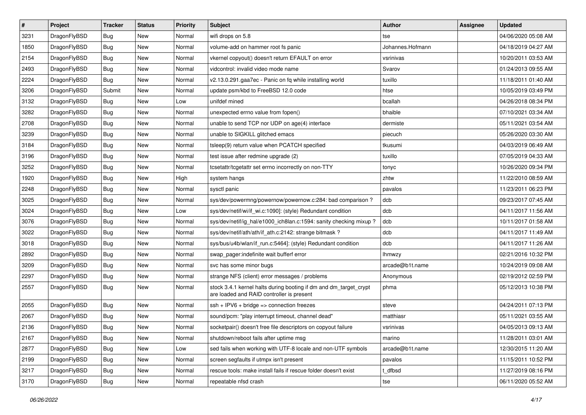| $\sharp$ | Project      | <b>Tracker</b> | <b>Status</b> | <b>Priority</b> | Subject                                                                                                        | Author           | Assignee | <b>Updated</b>      |
|----------|--------------|----------------|---------------|-----------------|----------------------------------------------------------------------------------------------------------------|------------------|----------|---------------------|
| 3231     | DragonFlyBSD | Bug            | <b>New</b>    | Normal          | wifi drops on 5.8                                                                                              | tse              |          | 04/06/2020 05:08 AM |
| 1850     | DragonFlyBSD | Bug            | New           | Normal          | volume-add on hammer root fs panic                                                                             | Johannes.Hofmann |          | 04/18/2019 04:27 AM |
| 2154     | DragonFlyBSD | <b>Bug</b>     | New           | Normal          | vkernel copyout() doesn't return EFAULT on error                                                               | vsrinivas        |          | 10/20/2011 03:53 AM |
| 2493     | DragonFlyBSD | Bug            | <b>New</b>    | Normal          | vidcontrol: invalid video mode name                                                                            | Svarov           |          | 01/24/2013 09:55 AM |
| 2224     | DragonFlyBSD | Bug            | <b>New</b>    | Normal          | v2.13.0.291.gaa7ec - Panic on fq while installing world                                                        | tuxillo          |          | 11/18/2011 01:40 AM |
| 3206     | DragonFlyBSD | Submit         | New           | Normal          | update psm/kbd to FreeBSD 12.0 code                                                                            | htse             |          | 10/05/2019 03:49 PM |
| 3132     | DragonFlyBSD | Bug            | <b>New</b>    | Low             | unifdef mined                                                                                                  | bcallah          |          | 04/26/2018 08:34 PM |
| 3282     | DragonFlyBSD | Bug            | <b>New</b>    | Normal          | unexpected errno value from fopen()                                                                            | bhaible          |          | 07/10/2021 03:34 AM |
| 2708     | DragonFlyBSD | <b>Bug</b>     | New           | Normal          | unable to send TCP nor UDP on age(4) interface                                                                 | dermiste         |          | 05/11/2021 03:54 AM |
| 3239     | DragonFlyBSD | Bug            | <b>New</b>    | Normal          | unable to SIGKILL glitched emacs                                                                               | piecuch          |          | 05/26/2020 03:30 AM |
| 3184     | DragonFlyBSD | Bug            | New           | Normal          | tsleep(9) return value when PCATCH specified                                                                   | tkusumi          |          | 04/03/2019 06:49 AM |
| 3196     | DragonFlyBSD | Bug            | <b>New</b>    | Normal          | test issue after redmine upgrade (2)                                                                           | tuxillo          |          | 07/05/2019 04:33 AM |
| 3252     | DragonFlyBSD | Bug            | <b>New</b>    | Normal          | tcsetattr/tcgetattr set errno incorrectly on non-TTY                                                           | tonyc            |          | 10/26/2020 09:34 PM |
| 1920     | DragonFlyBSD | Bug            | New           | High            | system hangs                                                                                                   | zhtw             |          | 11/22/2010 08:59 AM |
| 2248     | DragonFlyBSD | Bug            | New           | Normal          | sysctl panic                                                                                                   | pavalos          |          | 11/23/2011 06:23 PM |
| 3025     | DragonFlyBSD | <b>Bug</b>     | New           | Normal          | sys/dev/powermng/powernow/powernow.c:284: bad comparison?                                                      | dcb              |          | 09/23/2017 07:45 AM |
| 3024     | DragonFlyBSD | <b>Bug</b>     | <b>New</b>    | Low             | sys/dev/netif/wi/if wi.c:1090]: (style) Redundant condition                                                    | dcb              |          | 04/11/2017 11:56 AM |
| 3076     | DragonFlyBSD | <b>Bug</b>     | New           | Normal          | sys/dev/netif/ig_hal/e1000_ich8lan.c:1594: sanity checking mixup?                                              | dcb              |          | 10/11/2017 01:58 AM |
| 3022     | DragonFlyBSD | <b>Bug</b>     | <b>New</b>    | Normal          | sys/dev/netif/ath/ath/if_ath.c:2142: strange bitmask?                                                          | dcb              |          | 04/11/2017 11:49 AM |
| 3018     | DragonFlyBSD | Bug            | New           | Normal          | sys/bus/u4b/wlan/if_run.c:5464]: (style) Redundant condition                                                   | dcb              |          | 04/11/2017 11:26 AM |
| 2892     | DragonFlyBSD | <b>Bug</b>     | <b>New</b>    | Normal          | swap pager:indefinite wait bufferf error                                                                       | <b>Ihmwzy</b>    |          | 02/21/2016 10:32 PM |
| 3209     | DragonFlyBSD | <b>Bug</b>     | New           | Normal          | svc has some minor bugs                                                                                        | arcade@b1t.name  |          | 10/24/2019 09:08 AM |
| 2297     | DragonFlyBSD | Bug            | New           | Normal          | strange NFS (client) error messages / problems                                                                 | Anonymous        |          | 02/19/2012 02:59 PM |
| 2557     | DragonFlyBSD | <b>Bug</b>     | New           | Normal          | stock 3.4.1 kernel halts during booting if dm and dm_target_crypt<br>are loaded and RAID controller is present | phma             |          | 05/12/2013 10:38 PM |
| 2055     | DragonFlyBSD | <b>Bug</b>     | <b>New</b>    | Normal          | $ssh + IPV6 + bridge \Rightarrow connection freezes$                                                           | steve            |          | 04/24/2011 07:13 PM |
| 2067     | DragonFlyBSD | <b>Bug</b>     | <b>New</b>    | Normal          | sound/pcm: "play interrupt timeout, channel dead"                                                              | matthiasr        |          | 05/11/2021 03:55 AM |
| 2136     | DragonFlyBSD | <b>Bug</b>     | New           | Normal          | socketpair() doesn't free file descriptors on copyout failure                                                  | vsrinivas        |          | 04/05/2013 09:13 AM |
| 2167     | DragonFlyBSD | <b>Bug</b>     | <b>New</b>    | Normal          | shutdown/reboot fails after uptime msg                                                                         | marino           |          | 11/28/2011 03:01 AM |
| 2877     | DragonFlyBSD | <b>Bug</b>     | New           | Low             | sed fails when working with UTF-8 locale and non-UTF symbols                                                   | arcade@b1t.name  |          | 12/30/2015 11:20 AM |
| 2199     | DragonFlyBSD | <b>Bug</b>     | <b>New</b>    | Normal          | screen segfaults if utmpx isn't present                                                                        | pavalos          |          | 11/15/2011 10:52 PM |
| 3217     | DragonFlyBSD | <b>Bug</b>     | New           | Normal          | rescue tools: make install fails if rescue folder doesn't exist                                                | t_dfbsd          |          | 11/27/2019 08:16 PM |
| 3170     | DragonFlyBSD | <b>Bug</b>     | New           | Normal          | repeatable nfsd crash                                                                                          | tse              |          | 06/11/2020 05:52 AM |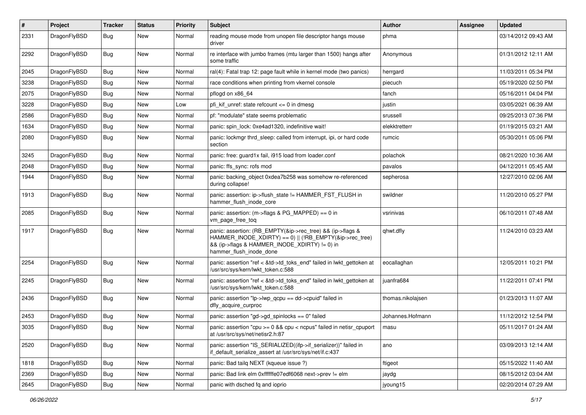| $\#$ | Project      | <b>Tracker</b> | <b>Status</b> | <b>Priority</b> | Subject                                                                                                                                                                                           | <b>Author</b>     | Assignee | <b>Updated</b>      |
|------|--------------|----------------|---------------|-----------------|---------------------------------------------------------------------------------------------------------------------------------------------------------------------------------------------------|-------------------|----------|---------------------|
| 2331 | DragonFlyBSD | Bug            | <b>New</b>    | Normal          | reading mouse mode from unopen file descriptor hangs mouse<br>driver                                                                                                                              | phma              |          | 03/14/2012 09:43 AM |
| 2292 | DragonFlyBSD | Bug            | <b>New</b>    | Normal          | re interface with jumbo frames (mtu larger than 1500) hangs after<br>some traffic                                                                                                                 | Anonymous         |          | 01/31/2012 12:11 AM |
| 2045 | DragonFlyBSD | Bug            | <b>New</b>    | Normal          | ral(4): Fatal trap 12: page fault while in kernel mode (two panics)                                                                                                                               | herrgard          |          | 11/03/2011 05:34 PM |
| 3238 | DragonFlyBSD | <b>Bug</b>     | New           | Normal          | race conditions when printing from vkernel console                                                                                                                                                | piecuch           |          | 05/19/2020 02:50 PM |
| 2075 | DragonFlyBSD | <b>Bug</b>     | <b>New</b>    | Normal          | pflogd on x86 64                                                                                                                                                                                  | fanch             |          | 05/16/2011 04:04 PM |
| 3228 | DragonFlyBSD | <b>Bug</b>     | <b>New</b>    | Low             | pfi kif unref: state refcount $\leq$ 0 in dmesg                                                                                                                                                   | justin            |          | 03/05/2021 06:39 AM |
| 2586 | DragonFlyBSD | <b>Bug</b>     | New           | Normal          | pf: "modulate" state seems problematic                                                                                                                                                            | srussell          |          | 09/25/2013 07:36 PM |
| 1634 | DragonFlyBSD | Bug            | <b>New</b>    | Normal          | panic: spin_lock: 0xe4ad1320, indefinitive wait!                                                                                                                                                  | elekktretterr     |          | 01/19/2015 03:21 AM |
| 2080 | DragonFlyBSD | <b>Bug</b>     | <b>New</b>    | Normal          | panic: lockmgr thrd sleep: called from interrupt, ipi, or hard code<br>section                                                                                                                    | rumcic            |          | 05/30/2011 05:06 PM |
| 3245 | DragonFlyBSD | <b>Bug</b>     | <b>New</b>    | Normal          | panic: free: quard1x fail, i915 load from loader.conf                                                                                                                                             | polachok          |          | 08/21/2020 10:36 AM |
| 2048 | DragonFlyBSD | <b>Bug</b>     | <b>New</b>    | Normal          | panic: ffs sync: rofs mod                                                                                                                                                                         | pavalos           |          | 04/12/2011 05:45 AM |
| 1944 | DragonFlyBSD | Bug            | <b>New</b>    | Normal          | panic: backing_object 0xdea7b258 was somehow re-referenced<br>during collapse!                                                                                                                    | sepherosa         |          | 12/27/2010 02:06 AM |
| 1913 | DragonFlyBSD | Bug            | <b>New</b>    | Normal          | panic: assertion: ip->flush_state != HAMMER_FST_FLUSH in<br>hammer flush inode core                                                                                                               | swildner          |          | 11/20/2010 05:27 PM |
| 2085 | DragonFlyBSD | Bug            | <b>New</b>    | Normal          | panic: assertion: (m->flags & PG_MAPPED) == 0 in<br>vm page free tog                                                                                                                              | vsrinivas         |          | 06/10/2011 07:48 AM |
| 1917 | DragonFlyBSD | <b>Bug</b>     | <b>New</b>    | Normal          | panic: assertion: (RB_EMPTY(&ip->rec_tree) && (ip->flags &<br>HAMMER_INODE_XDIRTY) == 0)    (!RB_EMPTY(&ip->rec_tree)<br>&& (ip->flags & HAMMER_INODE_XDIRTY) != 0) in<br>hammer_flush_inode_done | qhwt.dfly         |          | 11/24/2010 03:23 AM |
| 2254 | DragonFlyBSD | <b>Bug</b>     | <b>New</b>    | Normal          | panic: assertion "ref < &td->td toks end" failed in lwkt gettoken at<br>/usr/src/sys/kern/lwkt_token.c:588                                                                                        | eocallaghan       |          | 12/05/2011 10:21 PM |
| 2245 | DragonFlyBSD | <b>Bug</b>     | New           | Normal          | panic: assertion "ref < &td->td_toks_end" failed in lwkt_gettoken at<br>/usr/src/sys/kern/lwkt_token.c:588                                                                                        | juanfra684        |          | 11/22/2011 07:41 PM |
| 2436 | DragonFlyBSD | Bug            | <b>New</b>    | Normal          | panic: assertion "lp->lwp_qcpu == dd->cpuid" failed in<br>dfly_acquire_curproc                                                                                                                    | thomas.nikolajsen |          | 01/23/2013 11:07 AM |
| 2453 | DragonFlyBSD | <b>Bug</b>     | <b>New</b>    | Normal          | panic: assertion "gd->gd_spinlocks == 0" failed                                                                                                                                                   | Johannes.Hofmann  |          | 11/12/2012 12:54 PM |
| 3035 | DragonFlyBSD | Bug            | New           | Normal          | panic: assertion "cpu $>= 0$ && cpu < ncpus" failed in netisr cpuport<br>at /usr/src/sys/net/netisr2.h:87                                                                                         | masu              |          | 05/11/2017 01:24 AM |
| 2520 | DragonFlyBSD | <b>Bug</b>     | New           | Normal          | panic: assertion "IS_SERIALIZED((ifp->if_serializer))" failed in<br>if_default_serialize_assert at /usr/src/sys/net/if.c:437                                                                      | ano               |          | 03/09/2013 12:14 AM |
| 1818 | DragonFlyBSD | <b>Bug</b>     | New           | Normal          | panic: Bad tailg NEXT (kqueue issue ?)                                                                                                                                                            | ftigeot           |          | 05/15/2022 11:40 AM |
| 2369 | DragonFlyBSD | Bug            | New           | Normal          | panic: Bad link elm 0xffffffe07edf6068 next->prev != elm                                                                                                                                          | jaydg             |          | 08/15/2012 03:04 AM |
| 2645 | DragonFlyBSD | <b>Bug</b>     | New           | Normal          | panic with dsched fq and ioprio                                                                                                                                                                   | jyoung15          |          | 02/20/2014 07:29 AM |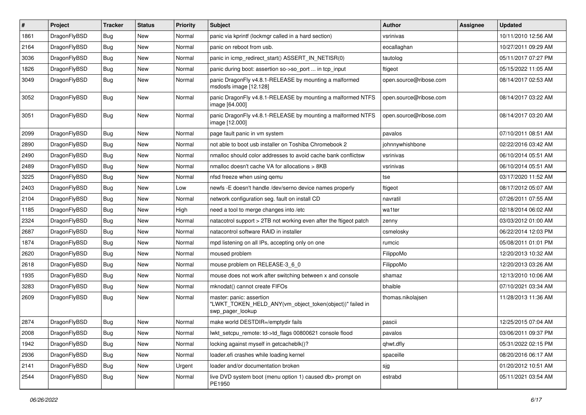| $\#$ | Project      | <b>Tracker</b> | <b>Status</b> | <b>Priority</b> | <b>Subject</b>                                                                                           | <b>Author</b>          | Assignee | <b>Updated</b>      |
|------|--------------|----------------|---------------|-----------------|----------------------------------------------------------------------------------------------------------|------------------------|----------|---------------------|
| 1861 | DragonFlyBSD | <b>Bug</b>     | New           | Normal          | panic via kprintf (lockmgr called in a hard section)                                                     | vsrinivas              |          | 10/11/2010 12:56 AM |
| 2164 | DragonFlyBSD | <b>Bug</b>     | <b>New</b>    | Normal          | panic on reboot from usb.                                                                                | eocallaghan            |          | 10/27/2011 09:29 AM |
| 3036 | DragonFlyBSD | <b>Bug</b>     | New           | Normal          | panic in icmp redirect start() ASSERT IN NETISR(0)                                                       | tautolog               |          | 05/11/2017 07:27 PM |
| 1826 | DragonFlyBSD | <b>Bug</b>     | New           | Normal          | panic during boot: assertion so->so_port  in tcp_input                                                   | ftigeot                |          | 05/15/2022 11:05 AM |
| 3049 | DragonFlyBSD | Bug            | New           | Normal          | panic DragonFly v4.8.1-RELEASE by mounting a malformed<br>msdosfs image [12.128]                         | open.source@ribose.com |          | 08/14/2017 02:53 AM |
| 3052 | DragonFlyBSD | Bug            | <b>New</b>    | Normal          | panic DragonFly v4.8.1-RELEASE by mounting a malformed NTFS<br>image [64.000]                            | open.source@ribose.com |          | 08/14/2017 03:22 AM |
| 3051 | DragonFlyBSD | <b>Bug</b>     | <b>New</b>    | Normal          | panic DragonFly v4.8.1-RELEASE by mounting a malformed NTFS<br>image [12.000]                            | open.source@ribose.com |          | 08/14/2017 03:20 AM |
| 2099 | DragonFlyBSD | <b>Bug</b>     | <b>New</b>    | Normal          | page fault panic in vm system                                                                            | pavalos                |          | 07/10/2011 08:51 AM |
| 2890 | DragonFlyBSD | Bug            | New           | Normal          | not able to boot usb installer on Toshiba Chromebook 2                                                   | johnnywhishbone        |          | 02/22/2016 03:42 AM |
| 2490 | DragonFlyBSD | <b>Bug</b>     | <b>New</b>    | Normal          | nmalloc should color addresses to avoid cache bank conflictsw                                            | vsrinivas              |          | 06/10/2014 05:51 AM |
| 2489 | DragonFlyBSD | Bug            | New           | Normal          | nmalloc doesn't cache VA for allocations > 8KB                                                           | vsrinivas              |          | 06/10/2014 05:51 AM |
| 3225 | DragonFlyBSD | Bug            | <b>New</b>    | Normal          | nfsd freeze when using qemu                                                                              | tse                    |          | 03/17/2020 11:52 AM |
| 2403 | DragonFlyBSD | Bug            | New           | Low             | newfs -E doesn't handle /dev/serno device names properly                                                 | ftigeot                |          | 08/17/2012 05:07 AM |
| 2104 | DragonFlyBSD | <b>Bug</b>     | <b>New</b>    | Normal          | network configuration seg. fault on install CD                                                           | navratil               |          | 07/26/2011 07:55 AM |
| 1185 | DragonFlyBSD | <b>Bug</b>     | <b>New</b>    | High            | need a tool to merge changes into /etc                                                                   | wa1ter                 |          | 02/18/2014 06:02 AM |
| 2324 | DragonFlyBSD | <b>Bug</b>     | <b>New</b>    | Normal          | natacotrol support > 2TB not working even after the ftigeot patch                                        | zenny                  |          | 03/03/2012 01:00 AM |
| 2687 | DragonFlyBSD | Bug            | New           | Normal          | natacontrol software RAID in installer                                                                   | csmelosky              |          | 06/22/2014 12:03 PM |
| 1874 | DragonFlyBSD | <b>Bug</b>     | <b>New</b>    | Normal          | mpd listening on all IPs, accepting only on one                                                          | rumcic                 |          | 05/08/2011 01:01 PM |
| 2620 | DragonFlyBSD | <b>Bug</b>     | <b>New</b>    | Normal          | moused problem                                                                                           | FilippoMo              |          | 12/20/2013 10:32 AM |
| 2618 | DragonFlyBSD | Bug            | <b>New</b>    | Normal          | mouse problem on RELEASE-3_6_0                                                                           | FilippoMo              |          | 12/20/2013 03:26 AM |
| 1935 | DragonFlyBSD | Bug            | <b>New</b>    | Normal          | mouse does not work after switching between x and console                                                | shamaz                 |          | 12/13/2010 10:06 AM |
| 3283 | DragonFlyBSD | Bug            | <b>New</b>    | Normal          | mknodat() cannot create FIFOs                                                                            | bhaible                |          | 07/10/2021 03:34 AM |
| 2609 | DragonFlyBSD | <b>Bug</b>     | <b>New</b>    | Normal          | master: panic: assertion<br>"LWKT_TOKEN_HELD_ANY(vm_object_token(object))" failed in<br>swp_pager_lookup | thomas.nikolajsen      |          | 11/28/2013 11:36 AM |
| 2874 | DragonFlyBSD | <b>Bug</b>     | <b>New</b>    | Normal          | make world DESTDIR=/emptydir fails                                                                       | pascii                 |          | 12/25/2015 07:04 AM |
| 2008 | DragonFlyBSD | <b>Bug</b>     | New           | Normal          | lwkt_setcpu_remote: td->td_flags 00800621 console flood                                                  | pavalos                |          | 03/06/2011 09:37 PM |
| 1942 | DragonFlyBSD | Bug            | New           | Normal          | locking against myself in getcacheblk()?                                                                 | qhwt.dfly              |          | 05/31/2022 02:15 PM |
| 2936 | DragonFlyBSD | <b>Bug</b>     | New           | Normal          | loader.efi crashes while loading kernel                                                                  | spaceille              |          | 08/20/2016 06:17 AM |
| 2141 | DragonFlyBSD | <b>Bug</b>     | New           | Urgent          | loader and/or documentation broken                                                                       | sjg                    |          | 01/20/2012 10:51 AM |
| 2544 | DragonFlyBSD | <b>Bug</b>     | New           | Normal          | live DVD system boot (menu option 1) caused db> prompt on<br>PE1950                                      | estrabd                |          | 05/11/2021 03:54 AM |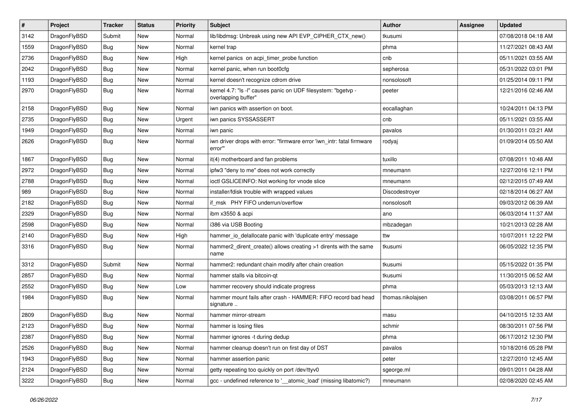| $\vert$ # | Project      | <b>Tracker</b> | <b>Status</b> | <b>Priority</b> | Subject                                                                              | Author            | <b>Assignee</b> | <b>Updated</b>      |
|-----------|--------------|----------------|---------------|-----------------|--------------------------------------------------------------------------------------|-------------------|-----------------|---------------------|
| 3142      | DragonFlyBSD | Submit         | <b>New</b>    | Normal          | lib/libdmsg: Unbreak using new API EVP_CIPHER_CTX_new()                              | tkusumi           |                 | 07/08/2018 04:18 AM |
| 1559      | DragonFlyBSD | Bug            | <b>New</b>    | Normal          | kernel trap                                                                          | phma              |                 | 11/27/2021 08:43 AM |
| 2736      | DragonFlyBSD | <b>Bug</b>     | New           | High            | kernel panics on acpi_timer_probe function                                           | cnb               |                 | 05/11/2021 03:55 AM |
| 2042      | DragonFlyBSD | Bug            | <b>New</b>    | Normal          | kernel panic, when run boot0cfg                                                      | sepherosa         |                 | 05/31/2022 03:01 PM |
| 1193      | DragonFlyBSD | Bug            | <b>New</b>    | Normal          | kernel doesn't recognize cdrom drive                                                 | nonsolosoft       |                 | 01/25/2014 09:11 PM |
| 2970      | DragonFlyBSD | Bug            | New           | Normal          | kernel 4.7: "Is -I" causes panic on UDF filesystem: "bgetvp -<br>overlapping buffer" | peeter            |                 | 12/21/2016 02:46 AM |
| 2158      | DragonFlyBSD | Bug            | <b>New</b>    | Normal          | iwn panics with assertion on boot.                                                   | eocallaghan       |                 | 10/24/2011 04:13 PM |
| 2735      | DragonFlyBSD | <b>Bug</b>     | <b>New</b>    | Urgent          | iwn panics SYSSASSERT                                                                | cnb               |                 | 05/11/2021 03:55 AM |
| 1949      | DragonFlyBSD | <b>Bug</b>     | New           | Normal          | iwn panic                                                                            | pavalos           |                 | 01/30/2011 03:21 AM |
| 2626      | DragonFlyBSD | Bug            | New           | Normal          | iwn driver drops with error: "firmware error 'iwn_intr: fatal firmware<br>error""    | rodyaj            |                 | 01/09/2014 05:50 AM |
| 1867      | DragonFlyBSD | <b>Bug</b>     | <b>New</b>    | Normal          | it(4) motherboard and fan problems                                                   | tuxillo           |                 | 07/08/2011 10:48 AM |
| 2972      | DragonFlyBSD | <b>Bug</b>     | New           | Normal          | ipfw3 "deny to me" does not work correctly                                           | mneumann          |                 | 12/27/2016 12:11 PM |
| 2788      | DragonFlyBSD | Bug            | <b>New</b>    | Normal          | ioctl GSLICEINFO: Not working for vnode slice                                        | mneumann          |                 | 02/12/2015 07:49 AM |
| 989       | DragonFlyBSD | Bug            | New           | Normal          | installer/fdisk trouble with wrapped values                                          | Discodestroyer    |                 | 02/18/2014 06:27 AM |
| 2182      | DragonFlyBSD | Bug            | <b>New</b>    | Normal          | if_msk PHY FIFO underrun/overflow                                                    | nonsolosoft       |                 | 09/03/2012 06:39 AM |
| 2329      | DragonFlyBSD | <b>Bug</b>     | <b>New</b>    | Normal          | ibm x3550 & acpi                                                                     | ano               |                 | 06/03/2014 11:37 AM |
| 2598      | DragonFlyBSD | <b>Bug</b>     | New           | Normal          | i386 via USB Booting                                                                 | mbzadegan         |                 | 10/21/2013 02:28 AM |
| 2140      | DragonFlyBSD | Bug            | <b>New</b>    | High            | hammer_io_delallocate panic with 'duplicate entry' message                           | ttw               |                 | 10/07/2011 12:22 PM |
| 3316      | DragonFlyBSD | Bug            | New           | Normal          | hammer2_dirent_create() allows creating >1 dirents with the same<br>name             | tkusumi           |                 | 06/05/2022 12:35 PM |
| 3312      | DragonFlyBSD | Submit         | New           | Normal          | hammer2: redundant chain modify after chain creation                                 | tkusumi           |                 | 05/15/2022 01:35 PM |
| 2857      | DragonFlyBSD | Bug            | New           | Normal          | hammer stalls via bitcoin-qt                                                         | tkusumi           |                 | 11/30/2015 06:52 AM |
| 2552      | DragonFlyBSD | Bug            | <b>New</b>    | Low             | hammer recovery should indicate progress                                             | phma              |                 | 05/03/2013 12:13 AM |
| 1984      | DragonFlyBSD | Bug            | <b>New</b>    | Normal          | hammer mount fails after crash - HAMMER: FIFO record bad head<br>signature           | thomas.nikolajsen |                 | 03/08/2011 06:57 PM |
| 2809      | DragonFlyBSD | Bug            | <b>New</b>    | Normal          | hammer mirror-stream                                                                 | masu              |                 | 04/10/2015 12:33 AM |
| 2123      | DragonFlyBSD | <b>Bug</b>     | New           | Normal          | hammer is losing files                                                               | schmir            |                 | 08/30/2011 07:56 PM |
| 2387      | DragonFlyBSD | <b>Bug</b>     | New           | Normal          | hammer ignores -t during dedup                                                       | phma              |                 | 06/17/2012 12:30 PM |
| 2526      | DragonFlyBSD | <b>Bug</b>     | New           | Normal          | hammer cleanup doesn't run on first day of DST                                       | pavalos           |                 | 10/18/2016 05:28 PM |
| 1943      | DragonFlyBSD | <b>Bug</b>     | New           | Normal          | hammer assertion panic                                                               | peter             |                 | 12/27/2010 12:45 AM |
| 2124      | DragonFlyBSD | <b>Bug</b>     | New           | Normal          | getty repeating too quickly on port /dev/ttyv0                                       | sgeorge.ml        |                 | 09/01/2011 04:28 AM |
| 3222      | DragonFlyBSD | <b>Bug</b>     | New           | Normal          | gcc - undefined reference to '_atomic_load' (missing libatomic?)                     | mneumann          |                 | 02/08/2020 02:45 AM |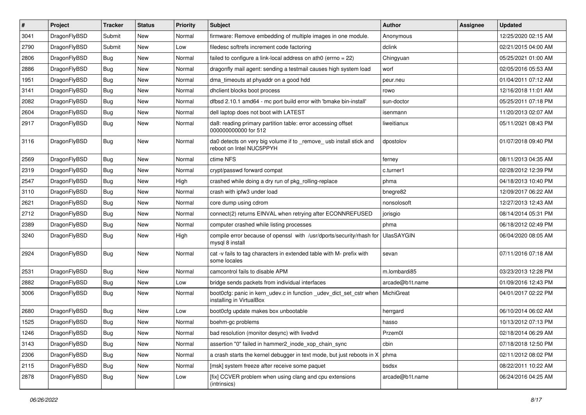| $\pmb{\#}$ | Project      | <b>Tracker</b> | <b>Status</b> | <b>Priority</b> | Subject                                                                                         | Author          | Assignee | <b>Updated</b>      |
|------------|--------------|----------------|---------------|-----------------|-------------------------------------------------------------------------------------------------|-----------------|----------|---------------------|
| 3041       | DragonFlyBSD | Submit         | New           | Normal          | firmware: Remove embedding of multiple images in one module.                                    | Anonymous       |          | 12/25/2020 02:15 AM |
| 2790       | DragonFlyBSD | Submit         | New           | Low             | filedesc softrefs increment code factoring                                                      | dclink          |          | 02/21/2015 04:00 AM |
| 2806       | DragonFlyBSD | Bug            | New           | Normal          | failed to configure a link-local address on ath $0$ (errno = 22)                                | Chingyuan       |          | 05/25/2021 01:00 AM |
| 2886       | DragonFlyBSD | Bug            | New           | Normal          | dragonfly mail agent: sending a testmail causes high system load                                | worf            |          | 02/05/2016 05:53 AM |
| 1951       | DragonFlyBSD | <b>Bug</b>     | <b>New</b>    | Normal          | dma_timeouts at phyaddr on a good hdd                                                           | peur.neu        |          | 01/04/2011 07:12 AM |
| 3141       | DragonFlyBSD | <b>Bug</b>     | <b>New</b>    | Normal          | dhclient blocks boot process                                                                    | rowo            |          | 12/16/2018 11:01 AM |
| 2082       | DragonFlyBSD | <b>Bug</b>     | New           | Normal          | dfbsd 2.10.1 amd64 - mc port build error with 'bmake bin-install'                               | sun-doctor      |          | 05/25/2011 07:18 PM |
| 2604       | DragonFlyBSD | Bug            | New           | Normal          | dell laptop does not boot with LATEST                                                           | isenmann        |          | 11/20/2013 02:07 AM |
| 2917       | DragonFlyBSD | Bug            | New           | Normal          | da8: reading primary partition table: error accessing offset<br>000000000000 for 512            | liweitianux     |          | 05/11/2021 08:43 PM |
| 3116       | DragonFlyBSD | Bug            | <b>New</b>    | Normal          | da0 detects on very big volume if to _remove_ usb install stick and<br>reboot on Intel NUC5PPYH | dpostolov       |          | 01/07/2018 09:40 PM |
| 2569       | DragonFlyBSD | <b>Bug</b>     | <b>New</b>    | Normal          | ctime NFS                                                                                       | fernev          |          | 08/11/2013 04:35 AM |
| 2319       | DragonFlyBSD | <b>Bug</b>     | New           | Normal          | crypt/passwd forward compat                                                                     | c.turner1       |          | 02/28/2012 12:39 PM |
| 2547       | DragonFlyBSD | Bug            | <b>New</b>    | High            | crashed while doing a dry run of pkg_rolling-replace                                            | phma            |          | 04/18/2013 10:40 PM |
| 3110       | DragonFlyBSD | Bug            | New           | Normal          | crash with ipfw3 under load                                                                     | bnegre82        |          | 12/09/2017 06:22 AM |
| 2621       | DragonFlyBSD | Bug            | New           | Normal          | core dump using cdrom                                                                           | nonsolosoft     |          | 12/27/2013 12:43 AM |
| 2712       | DragonFlyBSD | Bug            | <b>New</b>    | Normal          | connect(2) returns EINVAL when retrying after ECONNREFUSED                                      | jorisgio        |          | 08/14/2014 05:31 PM |
| 2389       | DragonFlyBSD | Bug            | New           | Normal          | computer crashed while listing processes                                                        | phma            |          | 06/18/2012 02:49 PM |
| 3240       | DragonFlyBSD | Bug            | New           | High            | compile error because of openssl with /usr/dports/security/rhash for<br>mysql 8 install         | UlasSAYGIN      |          | 06/04/2020 08:05 AM |
| 2924       | DragonFlyBSD | Bug            | New           | Normal          | cat -v fails to tag characters in extended table with M- prefix with<br>some locales            | sevan           |          | 07/11/2016 07:18 AM |
| 2531       | DragonFlyBSD | <b>Bug</b>     | <b>New</b>    | Normal          | camcontrol fails to disable APM                                                                 | m.lombardi85    |          | 03/23/2013 12:28 PM |
| 2882       | DragonFlyBSD | Bug            | <b>New</b>    | Low             | bridge sends packets from individual interfaces                                                 | arcade@b1t.name |          | 01/09/2016 12:43 PM |
| 3006       | DragonFlyBSD | Bug            | <b>New</b>    | Normal          | boot0cfg: panic in kern_udev.c in function _udev_dict_set_cstr when<br>installing in VirtualBox | MichiGreat      |          | 04/01/2017 02:22 PM |
| 2680       | DragonFlyBSD | Bug            | <b>New</b>    | Low             | boot0cfg update makes box unbootable                                                            | herrgard        |          | 06/10/2014 06:02 AM |
| 1525       | DragonFlyBSD | Bug            | <b>New</b>    | Normal          | boehm-gc problems                                                                               | hasso           |          | 10/13/2012 07:13 PM |
| 1246       | DragonFlyBSD | <b>Bug</b>     | New           | Normal          | bad resolution (monitor desync) with livedvd                                                    | Przem0l         |          | 02/18/2014 06:29 AM |
| 3143       | DragonFlyBSD | Bug            | New           | Normal          | assertion "0" failed in hammer2_inode_xop_chain_sync                                            | cbin            |          | 07/18/2018 12:50 PM |
| 2306       | DragonFlyBSD | <b>Bug</b>     | New           | Normal          | a crash starts the kernel debugger in text mode, but just reboots in $X \mid p$ hma             |                 |          | 02/11/2012 08:02 PM |
| 2115       | DragonFlyBSD | <b>Bug</b>     | New           | Normal          | [msk] system freeze after receive some paquet                                                   | bsdsx           |          | 08/22/2011 10:22 AM |
| 2878       | DragonFlyBSD | <b>Bug</b>     | New           | Low             | [fix] CCVER problem when using clang and cpu extensions<br>(intrinsics)                         | arcade@b1t.name |          | 06/24/2016 04:25 AM |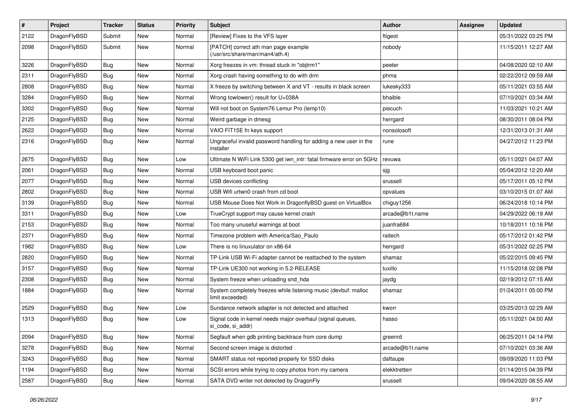| $\pmb{\#}$ | Project      | <b>Tracker</b> | <b>Status</b> | <b>Priority</b> | <b>Subject</b>                                                                     | <b>Author</b>   | Assignee | <b>Updated</b>      |
|------------|--------------|----------------|---------------|-----------------|------------------------------------------------------------------------------------|-----------------|----------|---------------------|
| 2122       | DragonFlyBSD | Submit         | New           | Normal          | [Review] Fixes to the VFS layer                                                    | ftigeot         |          | 05/31/2022 03:25 PM |
| 2098       | DragonFlyBSD | Submit         | New           | Normal          | [PATCH] correct ath man page example<br>(/usr/src/share/man/man4/ath.4)            | nobody          |          | 11/15/2011 12:27 AM |
| 3226       | DragonFlyBSD | Bug            | <b>New</b>    | Normal          | Xorg freezes in vm: thread stuck in "objtrm1"                                      | peeter          |          | 04/08/2020 02:10 AM |
| 2311       | DragonFlyBSD | <b>Bug</b>     | <b>New</b>    | Normal          | Xorg crash having something to do with drm                                         | phma            |          | 02/22/2012 09:59 AM |
| 2808       | DragonFlyBSD | Bug            | New           | Normal          | X freeze by switching between X and VT - results in black screen                   | lukesky333      |          | 05/11/2021 03:55 AM |
| 3284       | DragonFlyBSD | Bug            | <b>New</b>    | Normal          | Wrong towlower() result for U+038A                                                 | bhaible         |          | 07/10/2021 03:34 AM |
| 3302       | DragonFlyBSD | Bug            | <b>New</b>    | Normal          | Will not boot on System76 Lemur Pro (lemp10)                                       | piecuch         |          | 11/03/2021 10:21 AM |
| 2125       | DragonFlyBSD | Bug            | <b>New</b>    | Normal          | Weird garbage in dmesg                                                             | herrgard        |          | 08/30/2011 08:04 PM |
| 2622       | DragonFlyBSD | Bug            | <b>New</b>    | Normal          | VAIO FIT15E fn keys support                                                        | nonsolosoft     |          | 12/31/2013 01:31 AM |
| 2316       | DragonFlyBSD | Bug            | New           | Normal          | Ungraceful invalid password handling for adding a new user in the<br>installer     | rune            |          | 04/27/2012 11:23 PM |
| 2675       | DragonFlyBSD | Bug            | New           | Low             | Ultimate N WiFi Link 5300 get iwn_intr: fatal firmware error on 5GHz               | revuwa          |          | 05/11/2021 04:07 AM |
| 2061       | DragonFlyBSD | Bug            | New           | Normal          | USB keyboard boot panic                                                            | sjg             |          | 05/04/2012 12:20 AM |
| 2077       | DragonFlyBSD | Bug            | <b>New</b>    | Normal          | USB devices conflicting                                                            | srussell        |          | 05/17/2011 05:12 PM |
| 2802       | DragonFlyBSD | Bug            | <b>New</b>    | Normal          | USB Wifi urtwn0 crash from cd boot                                                 | opvalues        |          | 03/10/2015 01:07 AM |
| 3139       | DragonFlyBSD | Bug            | <b>New</b>    | Normal          | USB Mouse Does Not Work in DragonflyBSD guest on VirtualBox                        | chiguy1256      |          | 06/24/2018 10:14 PM |
| 3311       | DragonFlyBSD | Bug            | <b>New</b>    | Low             | TrueCrypt support may cause kernel crash                                           | arcade@b1t.name |          | 04/29/2022 06:19 AM |
| 2153       | DragonFlyBSD | Bug            | New           | Normal          | Too many unuseful warnings at boot                                                 | juanfra684      |          | 10/18/2011 10:16 PM |
| 2371       | DragonFlyBSD | Bug            | <b>New</b>    | Normal          | Timezone problem with America/Sao_Paulo                                            | raitech         |          | 05/17/2012 01:42 PM |
| 1982       | DragonFlyBSD | Bug            | New           | Low             | There is no linuxulator on x86-64                                                  | herrgard        |          | 05/31/2022 02:25 PM |
| 2820       | DragonFlyBSD | <b>Bug</b>     | <b>New</b>    | Normal          | TP-Link USB Wi-Fi adapter cannot be reattached to the system                       | shamaz          |          | 05/22/2015 09:45 PM |
| 3157       | DragonFlyBSD | Bug            | <b>New</b>    | Normal          | TP-Link UE300 not working in 5.2-RELEASE                                           | tuxillo         |          | 11/15/2018 02:08 PM |
| 2308       | DragonFlyBSD | Bug            | New           | Normal          | System freeze when unloading snd_hda                                               | jaydg           |          | 02/19/2012 07:15 AM |
| 1884       | DragonFlyBSD | Bug            | <b>New</b>    | Normal          | System completely freezes while listening music (devbuf: malloc<br>limit exceeded) | shamaz          |          | 01/24/2011 05:00 PM |
| 2529       | DragonFlyBSD | Bug            | New           | Low             | Sundance network adapter is not detected and attached                              | kworr           |          | 03/25/2013 02:29 AM |
| 1313       | DragonFlyBSD | Bug            | New           | Low             | Signal code in kernel needs major overhaul (signal queues,<br>si code, si addr)    | hasso           |          | 05/11/2021 04:00 AM |
| 2094       | DragonFlyBSD | <b>Bug</b>     | New           | Normal          | Segfault when gdb printing backtrace from core dump                                | greenrd         |          | 06/25/2011 04:14 PM |
| 3278       | DragonFlyBSD | Bug            | New           | Normal          | Second screen image is distorted                                                   | arcade@b1t.name |          | 07/10/2021 03:36 AM |
| 3243       | DragonFlyBSD | <b>Bug</b>     | New           | Normal          | SMART status not reported properly for SSD disks                                   | daftaupe        |          | 09/09/2020 11:03 PM |
| 1194       | DragonFlyBSD | <b>Bug</b>     | New           | Normal          | SCSI errors while trying to copy photos from my camera                             | elekktretterr   |          | 01/14/2015 04:39 PM |
| 2587       | DragonFlyBSD | Bug            | New           | Normal          | SATA DVD writer not detected by DragonFly                                          | srussell        |          | 09/04/2020 08:55 AM |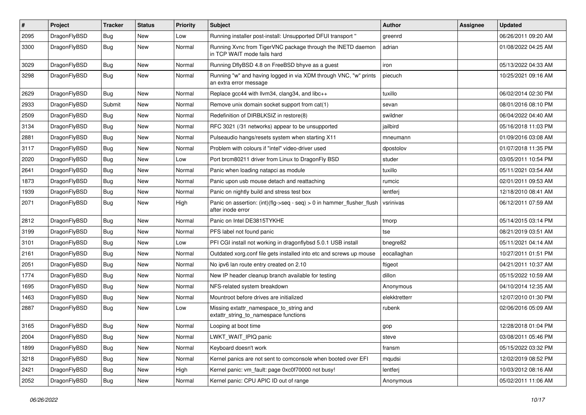| $\pmb{\#}$ | Project      | <b>Tracker</b> | <b>Status</b> | <b>Priority</b> | <b>Subject</b>                                                                                | Author        | Assignee | <b>Updated</b>      |
|------------|--------------|----------------|---------------|-----------------|-----------------------------------------------------------------------------------------------|---------------|----------|---------------------|
| 2095       | DragonFlyBSD | Bug            | New           | Low             | Running installer post-install: Unsupported DFUI transport "                                  | greenrd       |          | 06/26/2011 09:20 AM |
| 3300       | DragonFlyBSD | Bug            | <b>New</b>    | Normal          | Running Xvnc from TigerVNC package through the INETD daemon<br>in TCP WAIT mode fails hard    | adrian        |          | 01/08/2022 04:25 AM |
| 3029       | DragonFlyBSD | Bug            | <b>New</b>    | Normal          | Running DflyBSD 4.8 on FreeBSD bhyve as a guest                                               | iron          |          | 05/13/2022 04:33 AM |
| 3298       | DragonFlyBSD | Bug            | <b>New</b>    | Normal          | Running "w" and having logged in via XDM through VNC, "w" prints<br>an extra error message    | piecuch       |          | 10/25/2021 09:16 AM |
| 2629       | DragonFlyBSD | Bug            | <b>New</b>    | Normal          | Replace gcc44 with llvm34, clang34, and libc++                                                | tuxillo       |          | 06/02/2014 02:30 PM |
| 2933       | DragonFlyBSD | Submit         | New           | Normal          | Remove unix domain socket support from cat(1)                                                 | sevan         |          | 08/01/2016 08:10 PM |
| 2509       | DragonFlyBSD | Bug            | <b>New</b>    | Normal          | Redefinition of DIRBLKSIZ in restore(8)                                                       | swildner      |          | 06/04/2022 04:40 AM |
| 3134       | DragonFlyBSD | Bug            | <b>New</b>    | Normal          | RFC 3021 (/31 networks) appear to be unsupported                                              | jailbird      |          | 05/16/2018 11:03 PM |
| 2881       | DragonFlyBSD | <b>Bug</b>     | New           | Normal          | Pulseaudio hangs/resets system when starting X11                                              | mneumann      |          | 01/09/2016 03:08 AM |
| 3117       | DragonFlyBSD | Bug            | <b>New</b>    | Normal          | Problem with colours if "intel" video-driver used                                             | dpostolov     |          | 01/07/2018 11:35 PM |
| 2020       | DragonFlyBSD | <b>Bug</b>     | New           | Low             | Port brcm80211 driver from Linux to DragonFly BSD                                             | studer        |          | 03/05/2011 10:54 PM |
| 2641       | DragonFlyBSD | Bug            | <b>New</b>    | Normal          | Panic when loading natapci as module                                                          | tuxillo       |          | 05/11/2021 03:54 AM |
| 1873       | DragonFlyBSD | Bug            | <b>New</b>    | Normal          | Panic upon usb mouse detach and reattaching                                                   | rumcic        |          | 02/01/2011 09:53 AM |
| 1939       | DragonFlyBSD | Bug            | New           | Normal          | Panic on nightly build and stress test box                                                    | lentferj      |          | 12/18/2010 08:41 AM |
| 2071       | DragonFlyBSD | Bug            | New           | High            | Panic on assertion: $(int)(flag->seq - seq) > 0$ in hammer flusher flush<br>after inode error | vsrinivas     |          | 06/12/2011 07:59 AM |
| 2812       | DragonFlyBSD | <b>Bug</b>     | <b>New</b>    | Normal          | Panic on Intel DE3815TYKHE                                                                    | tmorp         |          | 05/14/2015 03:14 PM |
| 3199       | DragonFlyBSD | Bug            | <b>New</b>    | Normal          | PFS label not found panic                                                                     | tse           |          | 08/21/2019 03:51 AM |
| 3101       | DragonFlyBSD | Bug            | New           | Low             | PFI CGI install not working in dragonflybsd 5.0.1 USB install                                 | bnegre82      |          | 05/11/2021 04:14 AM |
| 2161       | DragonFlyBSD | Bug            | New           | Normal          | Outdated xorg.conf file gets installed into etc and screws up mouse                           | eocallaghan   |          | 10/27/2011 01:51 PM |
| 2051       | DragonFlyBSD | Bug            | <b>New</b>    | Normal          | No ipv6 lan route entry created on 2.10                                                       | ftigeot       |          | 04/21/2011 10:37 AM |
| 1774       | DragonFlyBSD | Bug            | New           | Normal          | New IP header cleanup branch available for testing                                            | dillon        |          | 05/15/2022 10:59 AM |
| 1695       | DragonFlyBSD | <b>Bug</b>     | New           | Normal          | NFS-related system breakdown                                                                  | Anonymous     |          | 04/10/2014 12:35 AM |
| 1463       | DragonFlyBSD | <b>Bug</b>     | <b>New</b>    | Normal          | Mountroot before drives are initialized                                                       | elekktretterr |          | 12/07/2010 01:30 PM |
| 2887       | DragonFlyBSD | Bug            | New           | Low             | Missing extattr_namespace_to_string and<br>extattr_string_to_namespace functions              | rubenk        |          | 02/06/2016 05:09 AM |
| 3165       | DragonFlyBSD | <b>Bug</b>     | New           | Normal          | Looping at boot time                                                                          | gop           |          | 12/28/2018 01:04 PM |
| 2004       | DragonFlyBSD | <b>Bug</b>     | New           | Normal          | LWKT_WAIT_IPIQ panic                                                                          | steve         |          | 03/08/2011 05:46 PM |
| 1899       | DragonFlyBSD | Bug            | New           | Normal          | Keyboard doesn't work                                                                         | fransm        |          | 05/15/2022 03:32 PM |
| 3218       | DragonFlyBSD | <b>Bug</b>     | New           | Normal          | Kernel panics are not sent to comconsole when booted over EFI                                 | mqudsi        |          | 12/02/2019 08:52 PM |
| 2421       | DragonFlyBSD | <b>Bug</b>     | New           | High            | Kernel panic: vm_fault: page 0xc0f70000 not busy!                                             | lentferj      |          | 10/03/2012 08:16 AM |
| 2052       | DragonFlyBSD | <b>Bug</b>     | New           | Normal          | Kernel panic: CPU APIC ID out of range                                                        | Anonymous     |          | 05/02/2011 11:06 AM |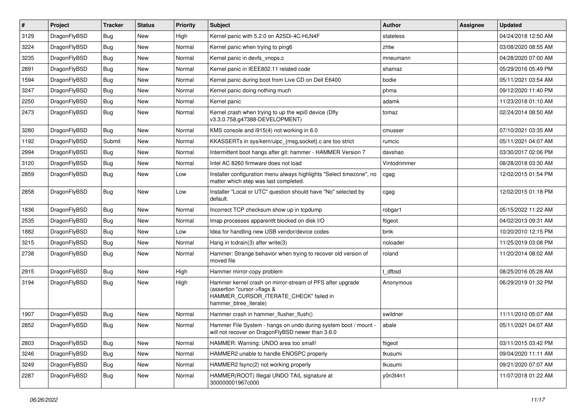| $\vert$ # | Project      | <b>Tracker</b> | <b>Status</b> | <b>Priority</b> | <b>Subject</b>                                                                                                                                              | Author       | Assignee | <b>Updated</b>      |
|-----------|--------------|----------------|---------------|-----------------|-------------------------------------------------------------------------------------------------------------------------------------------------------------|--------------|----------|---------------------|
| 3129      | DragonFlyBSD | <b>Bug</b>     | <b>New</b>    | High            | Kernel panic with 5.2.0 on A2SDi-4C-HLN4F                                                                                                                   | stateless    |          | 04/24/2018 12:50 AM |
| 3224      | DragonFlyBSD | <b>Bug</b>     | <b>New</b>    | Normal          | Kernel panic when trying to ping6                                                                                                                           | zhtw         |          | 03/08/2020 08:55 AM |
| 3235      | DragonFlyBSD | <b>Bug</b>     | <b>New</b>    | Normal          | Kernel panic in devfs vnops.c                                                                                                                               | mneumann     |          | 04/28/2020 07:00 AM |
| 2891      | DragonFlyBSD | Bug            | <b>New</b>    | Normal          | Kernel panic in IEEE802.11 related code                                                                                                                     | shamaz       |          | 05/29/2016 05:49 PM |
| 1594      | DragonFlyBSD | <b>Bug</b>     | <b>New</b>    | Normal          | Kernel panic during boot from Live CD on Dell E6400                                                                                                         | bodie        |          | 05/11/2021 03:54 AM |
| 3247      | DragonFlyBSD | <b>Bug</b>     | <b>New</b>    | Normal          | Kernel panic doing nothing much                                                                                                                             | phma         |          | 09/12/2020 11:40 PM |
| 2250      | DragonFlyBSD | <b>Bug</b>     | <b>New</b>    | Normal          | Kernel panic                                                                                                                                                | adamk        |          | 11/23/2018 01:10 AM |
| 2473      | DragonFlyBSD | Bug            | <b>New</b>    | Normal          | Kernel crash when trying to up the wpi0 device (Dfly<br>v3.3.0.758.g47388-DEVELOPMENT)                                                                      | tomaz        |          | 02/24/2014 08:50 AM |
| 3280      | DragonFlyBSD | <b>Bug</b>     | <b>New</b>    | Normal          | KMS console and i915(4) not working in 6.0                                                                                                                  | cmusser      |          | 07/10/2021 03:35 AM |
| 1192      | DragonFlyBSD | Submit         | <b>New</b>    | Normal          | KKASSERTs in sys/kern/uipc_{msg,socket}.c are too strict                                                                                                    | rumcic       |          | 05/11/2021 04:07 AM |
| 2994      | DragonFlyBSD | Bug            | <b>New</b>    | Normal          | Intermittent boot hangs after git: hammer - HAMMER Version 7                                                                                                | davshao      |          | 03/30/2017 02:06 PM |
| 3120      | DragonFlyBSD | <b>Bug</b>     | <b>New</b>    | Normal          | Intel AC 8260 firmware does not load                                                                                                                        | Vintodrimmer |          | 08/28/2018 03:30 AM |
| 2859      | DragonFlyBSD | Bug            | <b>New</b>    | Low             | Installer configuration menu always highlights "Select timezone", no<br>matter which step was last completed.                                               | cgag         |          | 12/02/2015 01:54 PM |
| 2858      | DragonFlyBSD | <b>Bug</b>     | New           | Low             | Installer "Local or UTC" question should have "No" selected by<br>default.                                                                                  | cgag         |          | 12/02/2015 01:18 PM |
| 1836      | DragonFlyBSD | <b>Bug</b>     | <b>New</b>    | Normal          | Incorrect TCP checksum show up in tcpdump                                                                                                                   | robgar1      |          | 05/15/2022 11:22 AM |
| 2535      | DragonFlyBSD | <b>Bug</b>     | <b>New</b>    | Normal          | Imap processes apparentlt blocked on disk I/O                                                                                                               | ftigeot      |          | 04/02/2013 09:31 AM |
| 1882      | DragonFlyBSD | Bug            | <b>New</b>    | Low             | Idea for handling new USB vendor/device codes                                                                                                               | bmk          |          | 10/20/2010 12:15 PM |
| 3215      | DragonFlyBSD | <b>Bug</b>     | <b>New</b>    | Normal          | Hang in todrain(3) after write(3)                                                                                                                           | noloader     |          | 11/25/2019 03:08 PM |
| 2738      | DragonFlyBSD | Bug            | <b>New</b>    | Normal          | Hammer: Strange behavior when trying to recover old version of<br>moved file                                                                                | roland       |          | 11/20/2014 08:02 AM |
| 2915      | DragonFlyBSD | <b>Bug</b>     | <b>New</b>    | High            | Hammer mirror-copy problem                                                                                                                                  | : dfbsd      |          | 08/25/2016 05:28 AM |
| 3194      | DragonFlyBSD | Bug            | <b>New</b>    | High            | Hammer kernel crash on mirror-stream of PFS after upgrade<br>(assertion "cursor->flags &<br>HAMMER_CURSOR_ITERATE_CHECK" failed in<br>hammer_btree_iterate) | Anonymous    |          | 06/29/2019 01:32 PM |
| 1907      | DragonFlyBSD | Bug            | <b>New</b>    | Normal          | Hammer crash in hammer flusher flush()                                                                                                                      | swildner     |          | 11/11/2010 05:07 AM |
| 2852      | DragonFlyBSD | <b>Bug</b>     | New           | Normal          | Hammer File System - hangs on undo during system boot / mount -<br>will not recover on DragonFlyBSD newer than 3.6.0                                        | abale        |          | 05/11/2021 04:07 AM |
| 2803      | DragonFlyBSD | <b>Bug</b>     | New           | Normal          | HAMMER: Warning: UNDO area too small!                                                                                                                       | ftigeot      |          | 03/11/2015 03:42 PM |
| 3246      | DragonFlyBSD | Bug            | New           | Normal          | HAMMER2 unable to handle ENOSPC properly                                                                                                                    | tkusumi      |          | 09/04/2020 11:11 AM |
| 3249      | DragonFlyBSD | <b>Bug</b>     | New           | Normal          | HAMMER2 fsync(2) not working properly                                                                                                                       | tkusumi      |          | 09/21/2020 07:07 AM |
| 2287      | DragonFlyBSD | Bug            | New           | Normal          | HAMMER(ROOT) Illegal UNDO TAIL signature at<br>300000001967c000                                                                                             | y0n3t4n1     |          | 11/07/2018 01:22 AM |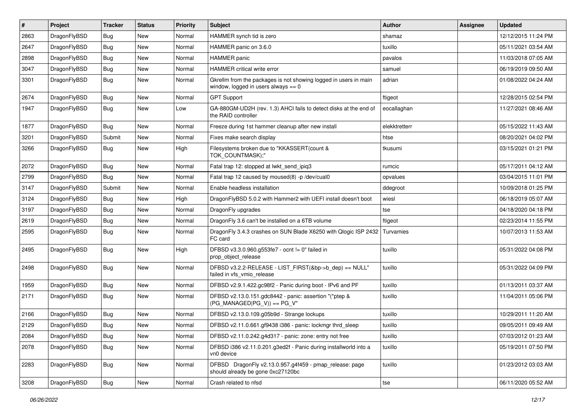| $\vert$ # | Project      | <b>Tracker</b> | <b>Status</b> | <b>Priority</b> | <b>Subject</b>                                                                                            | Author        | <b>Assignee</b> | <b>Updated</b>      |
|-----------|--------------|----------------|---------------|-----------------|-----------------------------------------------------------------------------------------------------------|---------------|-----------------|---------------------|
| 2863      | DragonFlyBSD | Bug            | <b>New</b>    | Normal          | HAMMER synch tid is zero                                                                                  | shamaz        |                 | 12/12/2015 11:24 PM |
| 2647      | DragonFlyBSD | Bug            | <b>New</b>    | Normal          | HAMMER panic on 3.6.0                                                                                     | tuxillo       |                 | 05/11/2021 03:54 AM |
| 2898      | DragonFlyBSD | Bug            | <b>New</b>    | Normal          | HAMMER panic                                                                                              | pavalos       |                 | 11/03/2018 07:05 AM |
| 3047      | DragonFlyBSD | Bug            | <b>New</b>    | Normal          | HAMMER critical write error                                                                               | samuel        |                 | 06/19/2019 09:50 AM |
| 3301      | DragonFlyBSD | <b>Bug</b>     | <b>New</b>    | Normal          | Gkrellm from the packages is not showing logged in users in main<br>window, logged in users always $== 0$ | adrian        |                 | 01/08/2022 04:24 AM |
| 2674      | DragonFlyBSD | Bug            | <b>New</b>    | Normal          | <b>GPT Support</b>                                                                                        | ftigeot       |                 | 12/28/2015 02:54 PM |
| 1947      | DragonFlyBSD | Bug            | New           | Low             | GA-880GM-UD2H (rev. 1.3) AHCI fails to detect disks at the end of<br>the RAID controller                  | eocallaghan   |                 | 11/27/2021 08:46 AM |
| 1877      | DragonFlyBSD | Bug            | New           | Normal          | Freeze during 1st hammer cleanup after new install                                                        | elekktretterr |                 | 05/15/2022 11:43 AM |
| 3201      | DragonFlyBSD | Submit         | <b>New</b>    | Normal          | Fixes make search display                                                                                 | htse          |                 | 08/20/2021 04:02 PM |
| 3266      | DragonFlyBSD | Bug            | New           | High            | Filesystems broken due to "KKASSERT(count &<br>TOK_COUNTMASK);"                                           | tkusumi       |                 | 03/15/2021 01:21 PM |
| 2072      | DragonFlyBSD | <b>Bug</b>     | <b>New</b>    | Normal          | Fatal trap 12: stopped at lwkt_send_ipiq3                                                                 | rumcic        |                 | 05/17/2011 04:12 AM |
| 2799      | DragonFlyBSD | Bug            | <b>New</b>    | Normal          | Fatal trap 12 caused by moused(8) -p /dev/cual0                                                           | opvalues      |                 | 03/04/2015 11:01 PM |
| 3147      | DragonFlyBSD | Submit         | New           | Normal          | Enable headless installation                                                                              | ddegroot      |                 | 10/09/2018 01:25 PM |
| 3124      | DragonFlyBSD | Bug            | <b>New</b>    | High            | DragonFlyBSD 5.0.2 with Hammer2 with UEFI install doesn't boot                                            | wiesl         |                 | 06/18/2019 05:07 AM |
| 3197      | DragonFlyBSD | Bug            | <b>New</b>    | Normal          | DragonFly upgrades                                                                                        | tse           |                 | 04/18/2020 04:18 PM |
| 2619      | DragonFlyBSD | Bug            | <b>New</b>    | Normal          | DragonFly 3.6 can't be installed on a 6TB volume                                                          | ftigeot       |                 | 02/23/2014 11:55 PM |
| 2595      | DragonFlyBSD | Bug            | New           | Normal          | DragonFly 3.4.3 crashes on SUN Blade X6250 with Qlogic ISP 2432<br>FC card                                | Turvamies     |                 | 10/07/2013 11:53 AM |
| 2495      | DragonFlyBSD | Bug            | <b>New</b>    | High            | DFBSD v3.3.0.960.g553fe7 - ocnt != 0" failed in<br>prop_object_release                                    | tuxillo       |                 | 05/31/2022 04:08 PM |
| 2498      | DragonFlyBSD | <b>Bug</b>     | New           | Normal          | DFBSD v3.2.2-RELEASE - LIST_FIRST(&bp->b_dep) == NULL"<br>failed in vfs vmio release                      | tuxillo       |                 | 05/31/2022 04:09 PM |
| 1959      | DragonFlyBSD | <b>Bug</b>     | <b>New</b>    | Normal          | DFBSD v2.9.1.422.gc98f2 - Panic during boot - IPv6 and PF                                                 | tuxillo       |                 | 01/13/2011 03:37 AM |
| 2171      | DragonFlyBSD | Bug            | <b>New</b>    | Normal          | DFBSD v2.13.0.151.gdc8442 - panic: assertion "(*ptep &<br>$(PG$ MANAGED $ PG$ V)) == PG V"                | tuxillo       |                 | 11/04/2011 05:06 PM |
| 2166      | DragonFlyBSD | Bug            | New           | Normal          | DFBSD v2.13.0.109.g05b9d - Strange lockups                                                                | tuxillo       |                 | 10/29/2011 11:20 AM |
| 2129      | DragonFlyBSD | <b>Bug</b>     | New           | Normal          | DFBSD v2.11.0.661.gf9438 i386 - panic: lockmgr thrd_sleep                                                 | tuxillo       |                 | 09/05/2011 09:49 AM |
| 2084      | DragonFlyBSD | <b>Bug</b>     | New           | Normal          | DFBSD v2.11.0.242.g4d317 - panic: zone: entry not free                                                    | tuxillo       |                 | 07/03/2012 01:23 AM |
| 2078      | DragonFlyBSD | <b>Bug</b>     | New           | Normal          | DFBSD i386 v2.11.0.201.g3ed2f - Panic during installworld into a<br>vn0 device                            | tuxillo       |                 | 05/19/2011 07:50 PM |
| 2283      | DragonFlyBSD | <b>Bug</b>     | New           | Normal          | DFBSD DragonFly v2.13.0.957.g4f459 - pmap_release: page<br>should already be gone 0xc27120bc              | tuxillo       |                 | 01/23/2012 03:03 AM |
| 3208      | DragonFlyBSD | <b>Bug</b>     | New           | Normal          | Crash related to nfsd                                                                                     | tse           |                 | 06/11/2020 05:52 AM |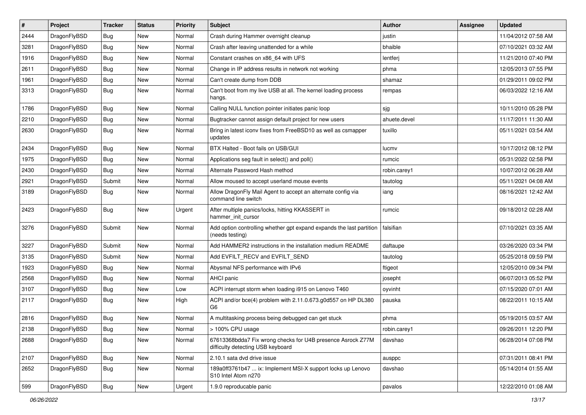| $\sharp$ | Project      | <b>Tracker</b> | <b>Status</b> | <b>Priority</b> | Subject                                                                                          | Author       | Assignee | <b>Updated</b>      |
|----------|--------------|----------------|---------------|-----------------|--------------------------------------------------------------------------------------------------|--------------|----------|---------------------|
| 2444     | DragonFlyBSD | Bug            | <b>New</b>    | Normal          | Crash during Hammer overnight cleanup                                                            | justin       |          | 11/04/2012 07:58 AM |
| 3281     | DragonFlyBSD | <b>Bug</b>     | <b>New</b>    | Normal          | Crash after leaving unattended for a while                                                       | bhaible      |          | 07/10/2021 03:32 AM |
| 1916     | DragonFlyBSD | Bug            | New           | Normal          | Constant crashes on x86_64 with UFS                                                              | lentferj     |          | 11/21/2010 07:40 PM |
| 2611     | DragonFlyBSD | Bug            | New           | Normal          | Change in IP address results in network not working                                              | phma         |          | 12/05/2013 07:55 PM |
| 1961     | DragonFlyBSD | Bug            | New           | Normal          | Can't create dump from DDB                                                                       | shamaz       |          | 01/29/2011 09:02 PM |
| 3313     | DragonFlyBSD | Bug            | <b>New</b>    | Normal          | Can't boot from my live USB at all. The kernel loading process<br>hangs.                         | rempas       |          | 06/03/2022 12:16 AM |
| 1786     | DragonFlyBSD | Bug            | <b>New</b>    | Normal          | Calling NULL function pointer initiates panic loop                                               | sjg          |          | 10/11/2010 05:28 PM |
| 2210     | DragonFlyBSD | Bug            | New           | Normal          | Bugtracker cannot assign default project for new users                                           | ahuete.devel |          | 11/17/2011 11:30 AM |
| 2630     | DragonFlyBSD | Bug            | <b>New</b>    | Normal          | Bring in latest iconv fixes from FreeBSD10 as well as csmapper<br>updates                        | tuxillo      |          | 05/11/2021 03:54 AM |
| 2434     | DragonFlyBSD | Bug            | <b>New</b>    | Normal          | BTX Halted - Boot fails on USB/GUI                                                               | lucmv        |          | 10/17/2012 08:12 PM |
| 1975     | DragonFlyBSD | <b>Bug</b>     | New           | Normal          | Applications seg fault in select() and poll()                                                    | rumcic       |          | 05/31/2022 02:58 PM |
| 2430     | DragonFlyBSD | <b>Bug</b>     | New           | Normal          | Alternate Password Hash method                                                                   | robin.carey1 |          | 10/07/2012 06:28 AM |
| 2921     | DragonFlyBSD | Submit         | <b>New</b>    | Normal          | Allow moused to accept userland mouse events                                                     | tautolog     |          | 05/11/2021 04:08 AM |
| 3189     | DragonFlyBSD | Bug            | New           | Normal          | Allow DragonFly Mail Agent to accept an alternate config via<br>command line switch              | iang         |          | 08/16/2021 12:42 AM |
| 2423     | DragonFlyBSD | <b>Bug</b>     | New           | Urgent          | After multiple panics/locks, hitting KKASSERT in<br>hammer init cursor                           | rumcic       |          | 09/18/2012 02:28 AM |
| 3276     | DragonFlyBSD | Submit         | New           | Normal          | Add option controlling whether gpt expand expands the last partition<br>(needs testing)          | falsifian    |          | 07/10/2021 03:35 AM |
| 3227     | DragonFlyBSD | Submit         | <b>New</b>    | Normal          | Add HAMMER2 instructions in the installation medium README                                       | daftaupe     |          | 03/26/2020 03:34 PM |
| 3135     | DragonFlyBSD | Submit         | <b>New</b>    | Normal          | Add EVFILT_RECV and EVFILT_SEND                                                                  | tautolog     |          | 05/25/2018 09:59 PM |
| 1923     | DragonFlyBSD | <b>Bug</b>     | <b>New</b>    | Normal          | Abysmal NFS performance with IPv6                                                                | ftigeot      |          | 12/05/2010 09:34 PM |
| 2568     | DragonFlyBSD | <b>Bug</b>     | New           | Normal          | AHCI panic                                                                                       | josepht      |          | 06/07/2013 05:52 PM |
| 3107     | DragonFlyBSD | Bug            | New           | Low             | ACPI interrupt storm when loading i915 on Lenovo T460                                            | oyvinht      |          | 07/15/2020 07:01 AM |
| 2117     | DragonFlyBSD | <b>Bug</b>     | New           | High            | ACPI and/or bce(4) problem with 2.11.0.673.g0d557 on HP DL380<br>G6                              | pauska       |          | 08/22/2011 10:15 AM |
| 2816     | DragonFlyBSD | Bug            | New           | Normal          | A multitasking process being debugged can get stuck                                              | phma         |          | 05/19/2015 03:57 AM |
| 2138     | DragonFlyBSD | Bug            | <b>New</b>    | Normal          | > 100% CPU usage                                                                                 | robin.carey1 |          | 09/26/2011 12:20 PM |
| 2688     | DragonFlyBSD | Bug            | New           | Normal          | 67613368bdda7 Fix wrong checks for U4B presence Asrock Z77M<br>difficulty detecting USB keyboard | davshao      |          | 06/28/2014 07:08 PM |
| 2107     | DragonFlyBSD | <b>Bug</b>     | <b>New</b>    | Normal          | 2.10.1 sata dvd drive issue                                                                      | ausppc       |          | 07/31/2011 08:41 PM |
| 2652     | DragonFlyBSD | <b>Bug</b>     | <b>New</b>    | Normal          | 189a0ff3761b47  ix: Implement MSI-X support locks up Lenovo<br>S10 Intel Atom n270               | davshao      |          | 05/14/2014 01:55 AM |
| 599      | DragonFlyBSD | Bug            | New           | Urgent          | 1.9.0 reproducable panic                                                                         | pavalos      |          | 12/22/2010 01:08 AM |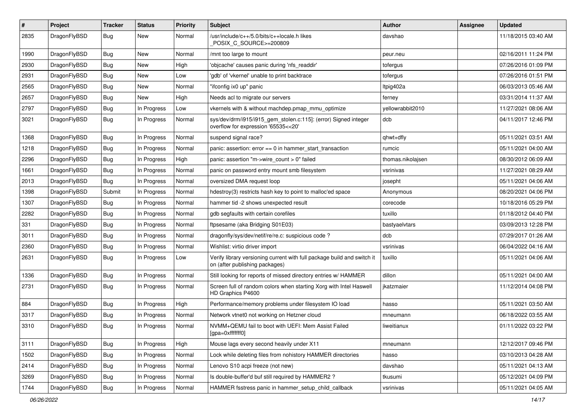| $\#$ | Project      | <b>Tracker</b> | <b>Status</b> | <b>Priority</b> | <b>Subject</b>                                                                                            | Author            | <b>Assignee</b> | <b>Updated</b>      |
|------|--------------|----------------|---------------|-----------------|-----------------------------------------------------------------------------------------------------------|-------------------|-----------------|---------------------|
| 2835 | DragonFlyBSD | <b>Bug</b>     | New           | Normal          | /usr/include/c++/5.0/bits/c++locale.h likes<br>POSIX_C_SOURCE>=200809                                     | davshao           |                 | 11/18/2015 03:40 AM |
| 1990 | DragonFlyBSD | <b>Bug</b>     | New           | Normal          | /mnt too large to mount                                                                                   | peur.neu          |                 | 02/16/2011 11:24 PM |
| 2930 | DragonFlyBSD | <b>Bug</b>     | <b>New</b>    | High            | 'objcache' causes panic during 'nfs_readdir'                                                              | tofergus          |                 | 07/26/2016 01:09 PM |
| 2931 | DragonFlyBSD | <b>Bug</b>     | New           | Low             | 'gdb' of 'vkernel' unable to print backtrace                                                              | tofergus          |                 | 07/26/2016 01:51 PM |
| 2565 | DragonFlyBSD | <b>Bug</b>     | New           | Normal          | "ifconfig ix0 up" panic                                                                                   | Itpig402a         |                 | 06/03/2013 05:46 AM |
| 2657 | DragonFlyBSD | <b>Bug</b>     | New           | High            | Needs acl to migrate our servers                                                                          | ferney            |                 | 03/31/2014 11:37 AM |
| 2797 | DragonFlyBSD | Bug            | In Progress   | Low             | vkernels with & without machdep.pmap mmu optimize                                                         | yellowrabbit2010  |                 | 11/27/2021 08:06 AM |
| 3021 | DragonFlyBSD | <b>Bug</b>     | In Progress   | Normal          | sys/dev/drm/i915/i915_gem_stolen.c:115]: (error) Signed integer<br>overflow for expression '65535<<20'    | dcb               |                 | 04/11/2017 12:46 PM |
| 1368 | DragonFlyBSD | <b>Bug</b>     | In Progress   | Normal          | suspend signal race?                                                                                      | qhwt+dfly         |                 | 05/11/2021 03:51 AM |
| 1218 | DragonFlyBSD | <b>Bug</b>     | In Progress   | Normal          | panic: assertion: $error == 0$ in hammer start transaction                                                | rumcic            |                 | 05/11/2021 04:00 AM |
| 2296 | DragonFlyBSD | Bug            | In Progress   | High            | panic: assertion "m->wire count > 0" failed                                                               | thomas.nikolajsen |                 | 08/30/2012 06:09 AM |
| 1661 | DragonFlyBSD | <b>Bug</b>     | In Progress   | Normal          | panic on password entry mount smb filesystem                                                              | vsrinivas         |                 | 11/27/2021 08:29 AM |
| 2013 | DragonFlyBSD | Bug            | In Progress   | Normal          | oversized DMA request loop                                                                                | josepht           |                 | 05/11/2021 04:06 AM |
| 1398 | DragonFlyBSD | Submit         | In Progress   | Normal          | hdestroy(3) restricts hash key to point to malloc'ed space                                                | Anonymous         |                 | 08/20/2021 04:06 PM |
| 1307 | DragonFlyBSD | <b>Bug</b>     | In Progress   | Normal          | hammer tid -2 shows unexpected result                                                                     | corecode          |                 | 10/18/2016 05:29 PM |
| 2282 | DragonFlyBSD | <b>Bug</b>     | In Progress   | Normal          | gdb segfaults with certain corefiles                                                                      | tuxillo           |                 | 01/18/2012 04:40 PM |
| 331  | DragonFlyBSD | <b>Bug</b>     | In Progress   | Normal          | ftpsesame (aka Bridging S01E03)                                                                           | bastyaelvtars     |                 | 03/09/2013 12:28 PM |
| 3011 | DragonFlyBSD | <b>Bug</b>     | In Progress   | Normal          | dragonfly/sys/dev/netif/re/re.c: suspicious code?                                                         | dcb               |                 | 07/29/2017 01:26 AM |
| 2360 | DragonFlyBSD | Bug            | In Progress   | Normal          | Wishlist: virtio driver import                                                                            | vsrinivas         |                 | 06/04/2022 04:16 AM |
| 2631 | DragonFlyBSD | <b>Bug</b>     | In Progress   | Low             | Verify library versioning current with full package build and switch it<br>on (after publishing packages) | tuxillo           |                 | 05/11/2021 04:06 AM |
| 1336 | DragonFlyBSD | <b>Bug</b>     | In Progress   | Normal          | Still looking for reports of missed directory entries w/ HAMMER                                           | dillon            |                 | 05/11/2021 04:00 AM |
| 2731 | DragonFlyBSD | <b>Bug</b>     | In Progress   | Normal          | Screen full of random colors when starting Xorg with Intel Haswell<br>HD Graphics P4600                   | jkatzmaier        |                 | 11/12/2014 04:08 PM |
| 884  | DragonFlyBSD | Bug            | In Progress   | High            | Performance/memory problems under filesystem IO load                                                      | hasso             |                 | 05/11/2021 03:50 AM |
| 3317 | DragonFlyBSD | <b>Bug</b>     | In Progress   | Normal          | Network vtnet0 not working on Hetzner cloud                                                               | mneumann          |                 | 06/18/2022 03:55 AM |
| 3310 | DragonFlyBSD | <b>Bug</b>     | In Progress   | Normal          | NVMM+QEMU fail to boot with UEFI: Mem Assist Failed<br>[gpa=0xfffffff0]                                   | liweitianux       |                 | 01/11/2022 03:22 PM |
| 3111 | DragonFlyBSD | <b>Bug</b>     | In Progress   | High            | Mouse lags every second heavily under X11                                                                 | mneumann          |                 | 12/12/2017 09:46 PM |
| 1502 | DragonFlyBSD | <b>Bug</b>     | In Progress   | Normal          | Lock while deleting files from nohistory HAMMER directories                                               | hasso             |                 | 03/10/2013 04:28 AM |
| 2414 | DragonFlyBSD | Bug            | In Progress   | Normal          | Lenovo S10 acpi freeze (not new)                                                                          | davshao           |                 | 05/11/2021 04:13 AM |
| 3269 | DragonFlyBSD | <b>Bug</b>     | In Progress   | Normal          | Is double-buffer'd buf still required by HAMMER2 ?                                                        | tkusumi           |                 | 05/12/2021 04:09 PM |
| 1744 | DragonFlyBSD | <b>Bug</b>     | In Progress   | Normal          | HAMMER fsstress panic in hammer_setup_child_callback                                                      | vsrinivas         |                 | 05/11/2021 04:05 AM |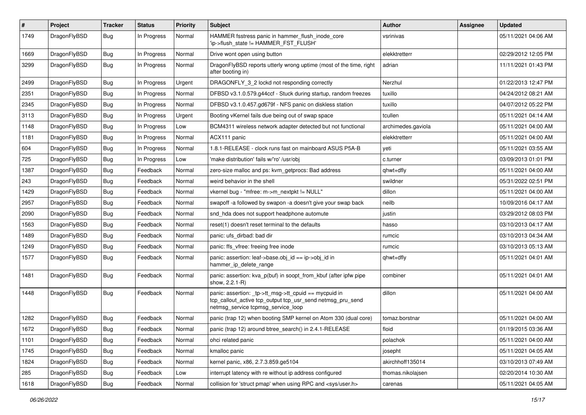| $\sharp$ | Project      | <b>Tracker</b> | <b>Status</b> | <b>Priority</b> | Subject                                                                                                                                                   | <b>Author</b>      | Assignee | <b>Updated</b>      |
|----------|--------------|----------------|---------------|-----------------|-----------------------------------------------------------------------------------------------------------------------------------------------------------|--------------------|----------|---------------------|
| 1749     | DragonFlyBSD | Bug            | In Progress   | Normal          | HAMMER fsstress panic in hammer_flush_inode_core<br>'ip->flush state != HAMMER FST FLUSH'                                                                 | vsrinivas          |          | 05/11/2021 04:06 AM |
| 1669     | DragonFlyBSD | <b>Bug</b>     | In Progress   | Normal          | Drive wont open using button                                                                                                                              | elekktretterr      |          | 02/29/2012 12:05 PM |
| 3299     | DragonFlyBSD | Bug            | In Progress   | Normal          | DragonFlyBSD reports utterly wrong uptime (most of the time, right<br>after booting in)                                                                   | adrian             |          | 11/11/2021 01:43 PM |
| 2499     | DragonFlyBSD | <b>Bug</b>     | In Progress   | Urgent          | DRAGONFLY 3 2 lockd not responding correctly                                                                                                              | Nerzhul            |          | 01/22/2013 12:47 PM |
| 2351     | DragonFlyBSD | <b>Bug</b>     | In Progress   | Normal          | DFBSD v3.1.0.579.g44ccf - Stuck during startup, random freezes                                                                                            | tuxillo            |          | 04/24/2012 08:21 AM |
| 2345     | DragonFlyBSD | <b>Bug</b>     | In Progress   | Normal          | DFBSD v3.1.0.457.gd679f - NFS panic on diskless station                                                                                                   | tuxillo            |          | 04/07/2012 05:22 PM |
| 3113     | DragonFlyBSD | <b>Bug</b>     | In Progress   | Urgent          | Booting vKernel fails due being out of swap space                                                                                                         | tcullen            |          | 05/11/2021 04:14 AM |
| 1148     | DragonFlyBSD | <b>Bug</b>     | In Progress   | Low             | BCM4311 wireless network adapter detected but not functional                                                                                              | archimedes.gaviola |          | 05/11/2021 04:00 AM |
| 1181     | DragonFlyBSD | <b>Bug</b>     | In Progress   | Normal          | ACX111 panic                                                                                                                                              | elekktretterr      |          | 05/11/2021 04:00 AM |
| 604      | DragonFlyBSD | <b>Bug</b>     | In Progress   | Normal          | 1.8.1-RELEASE - clock runs fast on mainboard ASUS P5A-B                                                                                                   | yeti               |          | 05/11/2021 03:55 AM |
| 725      | DragonFlyBSD | <b>Bug</b>     | In Progress   | Low             | 'make distribution' fails w/'ro' /usr/obj                                                                                                                 | c.turner           |          | 03/09/2013 01:01 PM |
| 1387     | DragonFlyBSD | <b>Bug</b>     | Feedback      | Normal          | zero-size malloc and ps: kvm getprocs: Bad address                                                                                                        | qhwt+dfly          |          | 05/11/2021 04:00 AM |
| 243      | DragonFlyBSD | <b>Bug</b>     | Feedback      | Normal          | weird behavior in the shell                                                                                                                               | swildner           |          | 05/31/2022 02:51 PM |
| 1429     | DragonFlyBSD | <b>Bug</b>     | Feedback      | Normal          | vkernel bug - "mfree: m->m_nextpkt != NULL"                                                                                                               | dillon             |          | 05/11/2021 04:00 AM |
| 2957     | DragonFlyBSD | <b>Bug</b>     | Feedback      | Normal          | swapoff -a followed by swapon -a doesn't give your swap back                                                                                              | neilb              |          | 10/09/2016 04:17 AM |
| 2090     | DragonFlyBSD | <b>Bug</b>     | Feedback      | Normal          | snd_hda does not support headphone automute                                                                                                               | justin             |          | 03/29/2012 08:03 PM |
| 1563     | DragonFlyBSD | <b>Bug</b>     | Feedback      | Normal          | reset(1) doesn't reset terminal to the defaults                                                                                                           | hasso              |          | 03/10/2013 04:17 AM |
| 1489     | DragonFlyBSD | <b>Bug</b>     | Feedback      | Normal          | panic: ufs dirbad: bad dir                                                                                                                                | rumcic             |          | 03/10/2013 04:34 AM |
| 1249     | DragonFlyBSD | <b>Bug</b>     | Feedback      | Normal          | panic: ffs vfree: freeing free inode                                                                                                                      | rumcic             |          | 03/10/2013 05:13 AM |
| 1577     | DragonFlyBSD | <b>Bug</b>     | Feedback      | Normal          | panic: assertion: leaf->base.obj_id == ip->obj_id in<br>hammer_ip_delete_range                                                                            | qhwt+dfly          |          | 05/11/2021 04:01 AM |
| 1481     | DragonFlyBSD | Bug            | Feedback      | Normal          | panic: assertion: kva_p(buf) in soopt_from_kbuf (after ipfw pipe<br>show, 2.2.1-R)                                                                        | combiner           |          | 05/11/2021 04:01 AM |
| 1448     | DragonFlyBSD | <b>Bug</b>     | Feedback      | Normal          | panic: assertion: _tp->tt_msg->tt_cpuid == mycpuid in<br>tcp_callout_active tcp_output tcp_usr_send netmsg_pru_send<br>netmsg_service tcpmsg_service_loop | dillon             |          | 05/11/2021 04:00 AM |
| 1282     | DragonFlyBSD | <b>Bug</b>     | Feedback      | Normal          | panic (trap 12) when booting SMP kernel on Atom 330 (dual core)                                                                                           | tomaz.borstnar     |          | 05/11/2021 04:00 AM |
| 1672     | DragonFlyBSD | <b>Bug</b>     | Feedback      | Normal          | panic (trap 12) around btree search() in 2.4.1-RELEASE                                                                                                    | floid              |          | 01/19/2015 03:36 AM |
| 1101     | DragonFlyBSD | Bug            | Feedback      | Normal          | ohci related panic                                                                                                                                        | polachok           |          | 05/11/2021 04:00 AM |
| 1745     | DragonFlyBSD | Bug            | Feedback      | Normal          | kmalloc panic                                                                                                                                             | josepht            |          | 05/11/2021 04:05 AM |
| 1824     | DragonFlyBSD | <b>Bug</b>     | Feedback      | Normal          | kernel panic, x86, 2.7.3.859.ge5104                                                                                                                       | akirchhoff135014   |          | 03/10/2013 07:49 AM |
| 285      | DragonFlyBSD | Bug            | Feedback      | Low             | interrupt latency with re without ip address configured                                                                                                   | thomas.nikolajsen  |          | 02/20/2014 10:30 AM |
| 1618     | DragonFlyBSD | <b>Bug</b>     | Feedback      | Normal          | collision for 'struct pmap' when using RPC and <sys user.h=""></sys>                                                                                      | carenas            |          | 05/11/2021 04:05 AM |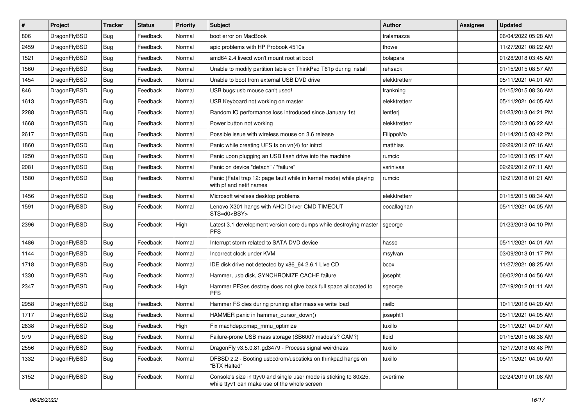| $\sharp$ | Project      | <b>Tracker</b> | <b>Status</b> | <b>Priority</b> | Subject                                                                                                            | <b>Author</b> | <b>Assignee</b> | <b>Updated</b>      |
|----------|--------------|----------------|---------------|-----------------|--------------------------------------------------------------------------------------------------------------------|---------------|-----------------|---------------------|
| 806      | DragonFlyBSD | Bug            | Feedback      | Normal          | boot error on MacBook                                                                                              | tralamazza    |                 | 06/04/2022 05:28 AM |
| 2459     | DragonFlyBSD | Bug            | Feedback      | Normal          | apic problems with HP Probook 4510s                                                                                | thowe         |                 | 11/27/2021 08:22 AM |
| 1521     | DragonFlyBSD | <b>Bug</b>     | Feedback      | Normal          | amd64 2.4 livecd won't mount root at boot                                                                          | bolapara      |                 | 01/28/2018 03:45 AM |
| 1560     | DragonFlyBSD | <b>Bug</b>     | Feedback      | Normal          | Unable to modify partition table on ThinkPad T61p during install                                                   | rehsack       |                 | 01/15/2015 08:57 AM |
| 1454     | DragonFlyBSD | Bug            | Feedback      | Normal          | Unable to boot from external USB DVD drive                                                                         | elekktretterr |                 | 05/11/2021 04:01 AM |
| 846      | DragonFlyBSD | <b>Bug</b>     | Feedback      | Normal          | USB bugs:usb mouse can't used!                                                                                     | frankning     |                 | 01/15/2015 08:36 AM |
| 1613     | DragonFlyBSD | Bug            | Feedback      | Normal          | USB Keyboard not working on master                                                                                 | elekktretterr |                 | 05/11/2021 04:05 AM |
| 2288     | DragonFlyBSD | <b>Bug</b>     | Feedback      | Normal          | Random IO performance loss introduced since January 1st                                                            | lentferj      |                 | 01/23/2013 04:21 PM |
| 1668     | DragonFlyBSD | <b>Bug</b>     | Feedback      | Normal          | Power button not working                                                                                           | elekktretterr |                 | 03/10/2013 06:22 AM |
| 2617     | DragonFlyBSD | Bug            | Feedback      | Normal          | Possible issue with wireless mouse on 3.6 release                                                                  | FilippoMo     |                 | 01/14/2015 03:42 PM |
| 1860     | DragonFlyBSD | <b>Bug</b>     | Feedback      | Normal          | Panic while creating UFS fs on vn(4) for initrd                                                                    | matthias      |                 | 02/29/2012 07:16 AM |
| 1250     | DragonFlyBSD | <b>Bug</b>     | Feedback      | Normal          | Panic upon plugging an USB flash drive into the machine                                                            | rumcic        |                 | 03/10/2013 05:17 AM |
| 2081     | DragonFlyBSD | <b>Bug</b>     | Feedback      | Normal          | Panic on device "detach" / "failure"                                                                               | vsrinivas     |                 | 02/29/2012 07:11 AM |
| 1580     | DragonFlyBSD | Bug            | Feedback      | Normal          | Panic (Fatal trap 12: page fault while in kernel mode) while playing<br>with pf and netif names                    | rumcic        |                 | 12/21/2018 01:21 AM |
| 1456     | DragonFlyBSD | Bug            | Feedback      | Normal          | Microsoft wireless desktop problems                                                                                | elekktretterr |                 | 01/15/2015 08:34 AM |
| 1591     | DragonFlyBSD | <b>Bug</b>     | Feedback      | Normal          | Lenovo X301 hangs with AHCI Driver CMD TIMEOUT<br>STS=d0 <bsy></bsy>                                               | eocallaghan   |                 | 05/11/2021 04:05 AM |
| 2396     | DragonFlyBSD | Bug            | Feedback      | High            | Latest 3.1 development version core dumps while destroying master<br><b>PFS</b>                                    | sgeorge       |                 | 01/23/2013 04:10 PM |
| 1486     | DragonFlyBSD | Bug            | Feedback      | Normal          | Interrupt storm related to SATA DVD device                                                                         | hasso         |                 | 05/11/2021 04:01 AM |
| 1144     | DragonFlyBSD | <b>Bug</b>     | Feedback      | Normal          | Incorrect clock under KVM                                                                                          | msylvan       |                 | 03/09/2013 01:17 PM |
| 1718     | DragonFlyBSD | <b>Bug</b>     | Feedback      | Normal          | IDE disk drive not detected by x86_64 2.6.1 Live CD                                                                | bcox          |                 | 11/27/2021 08:25 AM |
| 1330     | DragonFlyBSD | Bug            | Feedback      | Normal          | Hammer, usb disk, SYNCHRONIZE CACHE failure                                                                        | josepht       |                 | 06/02/2014 04:56 AM |
| 2347     | DragonFlyBSD | Bug            | Feedback      | High            | Hammer PFSes destroy does not give back full space allocated to<br><b>PFS</b>                                      | sgeorge       |                 | 07/19/2012 01:11 AM |
| 2958     | DragonFlyBSD | Bug            | Feedback      | Normal          | Hammer FS dies during pruning after massive write load                                                             | neilb         |                 | 10/11/2016 04:20 AM |
| 1717     | DragonFlyBSD | Bug            | Feedback      | Normal          | HAMMER panic in hammer_cursor_down()                                                                               | josepht1      |                 | 05/11/2021 04:05 AM |
| 2638     | DragonFlyBSD | Bug            | Feedback      | High            | Fix machdep.pmap_mmu_optimize                                                                                      | tuxillo       |                 | 05/11/2021 04:07 AM |
| 979      | DragonFlyBSD | <b>Bug</b>     | Feedback      | Normal          | Failure-prone USB mass storage (SB600? msdosfs? CAM?)                                                              | floid         |                 | 01/15/2015 08:38 AM |
| 2556     | DragonFlyBSD | <b>Bug</b>     | Feedback      | Normal          | DragonFly v3.5.0.81.gd3479 - Process signal weirdness                                                              | tuxillo       |                 | 12/17/2013 03:48 PM |
| 1332     | DragonFlyBSD | <b>Bug</b>     | Feedback      | Normal          | DFBSD 2.2 - Booting usbcdrom/usbsticks on thinkpad hangs on<br>"BTX Halted"                                        | tuxillo       |                 | 05/11/2021 04:00 AM |
| 3152     | DragonFlyBSD | Bug            | Feedback      | Normal          | Console's size in ttyv0 and single user mode is sticking to 80x25,<br>while ttyv1 can make use of the whole screen | overtime      |                 | 02/24/2019 01:08 AM |